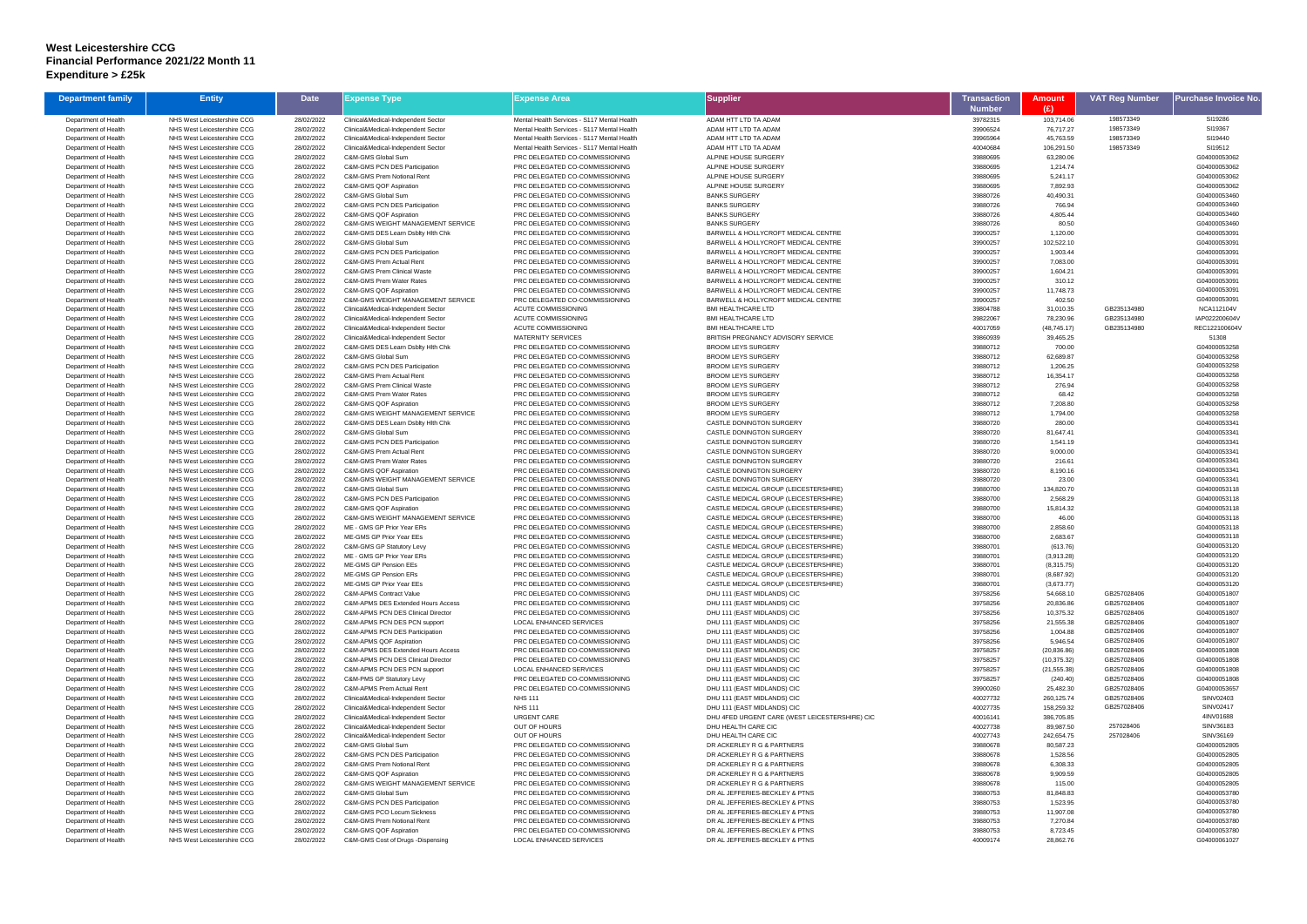## **West Leicestershire CCG Financial Performance 2021/22 Month 11 Expenditure > £25k**

| <b>Department family</b>                     | <b>Entity</b>                                              | <b>Date</b>              | Expense Type                                                                      | <b>Expense Area</b>                                              | <b>Supplier</b>                                                                | <b>Transaction</b>   | <b>Amount</b>            | <b>VAT Reg Number</b>      | Purchase Invoice No          |
|----------------------------------------------|------------------------------------------------------------|--------------------------|-----------------------------------------------------------------------------------|------------------------------------------------------------------|--------------------------------------------------------------------------------|----------------------|--------------------------|----------------------------|------------------------------|
| Department of Health                         | NHS West Leicestershire CCG                                | 28/02/2022               | Clinical&Medical-Independent Sector                                               | Mental Health Services - S117 Mental Health                      | ADAM HTT LTD TA ADAM                                                           | Number<br>39782315   | (E)<br>103,714.06        | 198573349                  | SI19286                      |
| Department of Health                         | NHS West Leicestershire CCG                                | 28/02/2022               | Clinical&Medical-Independent Sector                                               | Mental Health Services - S117 Mental Health                      | ADAM HTT LTD TA ADAM                                                           | 39906524             | 76,717.27                | 198573349                  | SI19367                      |
| Department of Health                         | NHS West Leicestershire CCG                                | 28/02/2022               | Clinical&Medical-Independent Sector                                               | Mental Health Services - S117 Mental Health                      | ADAM HTT LTD TA ADAM                                                           | 39965964             | 45,763.59                | 198573349                  | SI19440                      |
| Department of Health                         | NHS West Leicestershire CCG                                | 28/02/2022               | Clinical&Medical-Independent Sector                                               | Mental Health Services - S117 Mental Health                      | ADAM HTT LTD TA ADAM                                                           | 40040684             | 106,291.50               | 198573349                  | SI19512                      |
| Department of Health                         | NHS West Leicestershire CCG                                | 28/02/2022               | C&M-GMS Global Sum                                                                | PRC DELEGATED CO-COMMISSIONING                                   | ALPINE HOUSE SURGERY                                                           | 39880695             | 63,280.06                |                            | G04000053062                 |
| Department of Health                         | NHS West Leicestershire CCG                                | 28/02/2022               | C&M-GMS PCN DES Participation                                                     | PRC DELEGATED CO-COMMISSIONING                                   | ALPINE HOUSE SURGERY                                                           | 39880695             | 1,214.74                 |                            | G04000053062                 |
| Department of Health                         | NHS West Leicestershire CCG                                | 28/02/2022               | C&M-GMS Prem Notional Rent                                                        | PRC DELEGATED CO-COMMISSIONING                                   | ALPINE HOUSE SURGERY                                                           | 39880695             | 5,241.17                 |                            | G04000053062                 |
| Department of Health<br>Department of Health | NHS West Leicestershire CCG<br>NHS West Leicestershire CCG | 28/02/2022               | C&M-GMS QOF Aspiration<br>C&M-GMS Global Sum                                      | PRC DELEGATED CO-COMMISSIONING<br>PRC DELEGATED CO-COMMISSIONING | ALPINE HOUSE SURGERY<br><b>BANKS SURGERY</b>                                   | 39880695<br>39880726 | 7,892.93<br>40,490.31    |                            | G04000053062<br>G04000053460 |
| Department of Health                         | NHS West Leicestershire CCG                                | 28/02/2022<br>28/02/2022 | <b>C&amp;M-GMS PCN DES Participation</b>                                          | PRC DELEGATED CO-COMMISSIONING                                   | <b>BANKS SURGERY</b>                                                           | 39880726             | 766.94                   |                            | G04000053460                 |
| Department of Health                         | NHS West Leicestershire CCG                                | 28/02/2022               | C&M-GMS QOF Aspiration                                                            | PRC DELEGATED CO-COMMISSIONING                                   | <b>BANKS SURGERY</b>                                                           | 39880726             | 4,805.44                 |                            | G04000053460                 |
| Department of Health                         | NHS West Leicestershire CCG                                | 28/02/2022               | <b>C&amp;M-GMS WEIGHT MANAGEMENT SERVICE</b>                                      | PRC DELEGATED CO-COMMISSIONING                                   | <b>BANKS SURGERY</b>                                                           | 39880726             | 80.50                    |                            | G04000053460                 |
| Department of Health                         | NHS West Leicestershire CCG                                | 28/02/2022               | C&M-GMS DES Learn Dsblty Hith Chk                                                 | PRC DELEGATED CO-COMMISSIONING                                   | BARWELL & HOLLYCROFT MEDICAL CENTRE                                            | 39900257             | 1,120.00                 |                            | G04000053091                 |
| Department of Health                         | NHS West Leicestershire CCG                                | 28/02/2022               | C&M-GMS Global Sum                                                                | PRC DELEGATED CO-COMMISSIONING                                   | BARWELL & HOLLYCROFT MEDICAL CENTRE                                            | 39900257             | 102,522.10               |                            | G04000053091                 |
| Department of Health                         | NHS West Leicestershire CCG                                | 28/02/2022               | <b>C&amp;M-GMS PCN DES Participation</b>                                          | PRC DELEGATED CO-COMMISSIONING                                   | BARWELL & HOLLYCROFT MEDICAL CENTRE                                            | 39900257             | 1,903.44                 |                            | G04000053091                 |
| Department of Health<br>Department of Health | NHS West Leicestershire CCG<br>NHS West Leicestershire CCG | 28/02/2022<br>28/02/2022 | C&M-GMS Prem Actual Rent<br><b>C&amp;M-GMS Prem Clinical Waste</b>                | PRC DELEGATED CO-COMMISSIONING<br>PRC DELEGATED CO-COMMISSIONING | BARWELL & HOLLYCROFT MEDICAL CENTRE<br>BARWELL & HOLLYCROFT MEDICAL CENTRE     | 39900257<br>39900257 | 7,083.00<br>1,604.21     |                            | G04000053091<br>G04000053091 |
| Department of Health                         | NHS West Leicestershire CCG                                | 28/02/2022               | C&M-GMS Prem Water Rates                                                          | PRC DELEGATED CO-COMMISSIONING                                   | BARWELL & HOLLYCROFT MEDICAL CENTRE                                            | 39900257             | 310.12                   |                            | G04000053091                 |
| Department of Health                         | NHS West Leicestershire CCG                                | 28/02/2022               | C&M-GMS QOF Aspiration                                                            | PRC DELEGATED CO-COMMISSIONING                                   | BARWELL & HOLLYCROFT MEDICAL CENTRE                                            | 39900257             | 11,748.73                |                            | G04000053091                 |
| Department of Health                         | NHS West Leicestershire CCG                                | 28/02/2022               | <b>C&amp;M-GMS WEIGHT MANAGEMENT SERVICE</b>                                      | PRC DELEGATED CO-COMMISSIONING                                   | BARWELL & HOLLYCROFT MEDICAL CENTRE                                            | 39900257             | 402.50                   |                            | G04000053091                 |
| Department of Health                         | NHS West Leicestershire CCG                                | 28/02/2022               | Clinical&Medical-Independent Sector                                               | <b>ACUTE COMMISSIONING</b>                                       | <b>BMI HEALTHCARE LTD</b>                                                      | 39804788             | 31,010.35                | GB235134980                | <b>NCA112104V</b>            |
| Department of Health                         | NHS West Leicestershire CCG                                | 28/02/2022               | Clinical&Medical-Independent Sector                                               | <b>ACUTE COMMISSIONING</b>                                       | <b>BMI HEALTHCARE LTD</b>                                                      | 39822067             | 78,230.96                | GB235134980                | IAP022200604V                |
| Department of Health                         | NHS West Leicestershire CCG                                | 28/02/2022               | Clinical&Medical-Independent Sector                                               | <b>ACUTE COMMISSIONING</b>                                       | <b>BMI HEALTHCARE LTD</b><br>BRITISH PREGNANCY ADVISORY SERVICE                | 40017059             | (48, 745.17)             | GB235134980                | REC122100604V<br>51308       |
| Department of Health<br>Department of Health | NHS West Leicestershire CCG<br>NHS West Leicestershire CCG | 28/02/2022<br>28/02/2022 | Clinical&Medical-Independent Sector<br>C&M-GMS DES Learn Dsblty Hith Chk          | <b>MATERNITY SERVICES</b><br>PRC DELEGATED CO-COMMISSIONING      | <b>BROOM LEYS SURGERY</b>                                                      | 39860939<br>39880712 | 39,465.25<br>700.00      |                            | G04000053258                 |
| Department of Health                         | NHS West Leicestershire CCG                                | 28/02/2022               | C&M-GMS Global Sum                                                                | PRC DELEGATED CO-COMMISSIONING                                   | <b>BROOM LEYS SURGERY</b>                                                      | 39880712             | 62,689.87                |                            | G04000053258                 |
| Department of Health                         | NHS West Leicestershire CCG                                | 28/02/2022               | C&M-GMS PCN DES Participation                                                     | PRC DELEGATED CO-COMMISSIONING                                   | <b>BROOM LEYS SURGERY</b>                                                      | 39880712             | 1,206.25                 |                            | G04000053258                 |
| Department of Health                         | NHS West Leicestershire CCG                                | 28/02/2022               | C&M-GMS Prem Actual Rent                                                          | PRC DELEGATED CO-COMMISSIONING                                   | <b>BROOM LEYS SURGERY</b>                                                      | 39880712             | 16,354.17                |                            | G04000053258                 |
| Department of Health                         | NHS West Leicestershire CCG                                | 28/02/2022               | <b>C&amp;M-GMS Prem Clinical Waste</b>                                            | PRC DELEGATED CO-COMMISSIONING                                   | <b>BROOM LEYS SURGERY</b>                                                      | 39880712             | 276.94                   |                            | G04000053258                 |
| Department of Health                         | NHS West Leicestershire CCG                                | 28/02/2022               | C&M-GMS Prem Water Rates                                                          | PRC DELEGATED CO-COMMISSIONING                                   | <b>BROOM LEYS SURGERY</b>                                                      | 39880712             | 68.42                    |                            | G04000053258                 |
| Department of Health                         | NHS West Leicestershire CCG                                | 28/02/2022               | C&M-GMS QOF Aspiration                                                            | PRC DELEGATED CO-COMMISSIONING                                   | <b>BROOM LEYS SURGERY</b>                                                      | 39880712             | 7,208.80                 |                            | G04000053258                 |
| Department of Health<br>Department of Health | NHS West Leicestershire CCG<br>NHS West Leicestershire CCG | 28/02/2022<br>28/02/2022 | <b>C&amp;M-GMS WEIGHT MANAGEMENT SERVICE</b><br>C&M-GMS DES Learn Dsblty Hith Chk | PRC DELEGATED CO-COMMISSIONING<br>PRC DELEGATED CO-COMMISSIONING | <b>BROOM LEYS SURGERY</b><br><b>CASTLE DONINGTON SURGERY</b>                   | 39880712<br>39880720 | 1,794.00<br>280.00       |                            | G04000053258<br>G04000053341 |
| Department of Health                         | NHS West Leicestershire CCG                                | 28/02/2022               | C&M-GMS Global Sum                                                                | PRC DELEGATED CO-COMMISSIONING                                   | CASTLE DONINGTON SURGERY                                                       | 39880720             | 81,647.41                |                            | G04000053341                 |
| Department of Health                         | NHS West Leicestershire CCG                                | 28/02/2022               | <b>C&amp;M-GMS PCN DES Participation</b>                                          | PRC DELEGATED CO-COMMISSIONING                                   | <b>CASTLE DONINGTON SURGERY</b>                                                | 39880720             | 1,541.19                 |                            | G04000053341                 |
| Department of Health                         | NHS West Leicestershire CCG                                | 28/02/2022               | C&M-GMS Prem Actual Rent                                                          | PRC DELEGATED CO-COMMISSIONING                                   | CASTLE DONINGTON SURGERY                                                       | 39880720             | 9,000.00                 |                            | G04000053341                 |
| Department of Health                         | NHS West Leicestershire CCG                                | 28/02/2022               | C&M-GMS Prem Water Rates                                                          | PRC DELEGATED CO-COMMISSIONING                                   | <b>CASTLE DONINGTON SURGERY</b>                                                | 39880720             | 216.61                   |                            | G04000053341                 |
| Department of Health                         | NHS West Leicestershire CCG                                | 28/02/2022               | C&M-GMS QOF Aspiration                                                            | PRC DELEGATED CO-COMMISSIONING                                   | CASTLE DONINGTON SURGERY                                                       | 39880720             | 8,190.16                 |                            | G04000053341                 |
| Department of Health                         | NHS West Leicestershire CCG<br>NHS West Leicestershire CCG | 28/02/2022<br>28/02/2022 | <b>C&amp;M-GMS WEIGHT MANAGEMENT SERVICE</b><br>C&M-GMS Global Sum                | PRC DELEGATED CO-COMMISSIONING<br>PRC DELEGATED CO-COMMISSIONING | CASTLE DONINGTON SURGERY<br>CASTLE MEDICAL GROUP (LEICESTERSHIRE)              | 39880720<br>39880700 | 23.00<br>134,820.70      |                            | G04000053341<br>G04000053118 |
| Department of Health<br>Department of Health | NHS West Leicestershire CCG                                | 28/02/2022               | C&M-GMS PCN DES Participation                                                     | PRC DELEGATED CO-COMMISSIONING                                   | CASTLE MEDICAL GROUP (LEICESTERSHIRE)                                          | 39880700             | 2,568.29                 |                            | G04000053118                 |
| Department of Health                         | NHS West Leicestershire CCG                                | 28/02/2022               | C&M-GMS QOF Aspiration                                                            | PRC DELEGATED CO-COMMISSIONING                                   | CASTLE MEDICAL GROUP (LEICESTERSHIRE)                                          | 39880700             | 15,814.32                |                            | G04000053118                 |
| Department of Health                         | NHS West Leicestershire CCG                                | 28/02/2022               | <b>C&amp;M-GMS WEIGHT MANAGEMENT SERVICE</b>                                      | PRC DELEGATED CO-COMMISSIONING                                   | CASTLE MEDICAL GROUP (LEICESTERSHIRE)                                          | 39880700             | 46.00                    |                            | G04000053118                 |
| Department of Health                         | NHS West Leicestershire CCG                                | 28/02/2022               | ME - GMS GP Prior Year ERs                                                        | PRC DELEGATED CO-COMMISSIONING                                   | CASTLE MEDICAL GROUP (LEICESTERSHIRE)                                          | 39880700             | 2,858.60                 |                            | G04000053118                 |
| Department of Health                         | NHS West Leicestershire CCG                                | 28/02/2022               | ME-GMS GP Prior Year EEs                                                          | PRC DELEGATED CO-COMMISSIONING                                   | CASTLE MEDICAL GROUP (LEICESTERSHIRE)                                          | 39880700             | 2,683.67                 |                            | G04000053118                 |
| Department of Health                         | NHS West Leicestershire CCG                                | 28/02/2022               | C&M-GMS GP Statutory Levy                                                         | PRC DELEGATED CO-COMMISSIONING                                   | CASTLE MEDICAL GROUP (LEICESTERSHIRE)                                          | 39880701             | (613.76)                 |                            | G04000053120<br>G04000053120 |
| Department of Health<br>Department of Health | NHS West Leicestershire CCG<br>NHS West Leicestershire CCG | 28/02/2022<br>28/02/2022 | ME - GMS GP Prior Year ERs<br>ME-GMS GP Pension EEs                               | PRC DELEGATED CO-COMMISSIONING<br>PRC DELEGATED CO-COMMISSIONING | CASTLE MEDICAL GROUP (LEICESTERSHIRE)<br>CASTLE MEDICAL GROUP (LEICESTERSHIRE) | 39880701<br>39880701 | (3,913.28)<br>(8,315.75) |                            | G04000053120                 |
| Department of Health                         | NHS West Leicestershire CCG                                | 28/02/2022               | ME-GMS GP Pension ERs                                                             | PRC DELEGATED CO-COMMISSIONING                                   | CASTLE MEDICAL GROUP (LEICESTERSHIRE)                                          | 39880701             | (8.687.92)               |                            | G04000053120                 |
| Department of Health                         | NHS West Leicestershire CCG                                | 28/02/2022               | ME-GMS GP Prior Year EEs                                                          | PRC DELEGATED CO-COMMISSIONING                                   | CASTLE MEDICAL GROUP (LEICESTERSHIRE)                                          | 39880701             | (3,673.77)               |                            | G04000053120                 |
| Department of Health                         | NHS West Leicestershire CCG                                | 28/02/2022               | <b>C&amp;M-APMS Contract Value</b>                                                | PRC DELEGATED CO-COMMISSIONING                                   | DHU 111 (EAST MIDLANDS) CIC                                                    | 39758256             | 54,668.10                | GB257028406                | G04000051807                 |
| Department of Health                         | NHS West Leicestershire CCG                                | 28/02/2022               | C&M-APMS DES Extended Hours Access                                                | PRC DELEGATED CO-COMMISSIONING                                   | DHU 111 (EAST MIDLANDS) CIC                                                    | 39758256             | 20,836.86                | GB257028406                | G04000051807                 |
| Department of Health                         | NHS West Leicestershire CCG                                | 28/02/2022               | C&M-APMS PCN DES Clinical Director                                                | PRC DELEGATED CO-COMMISSIONING                                   | DHU 111 (EAST MIDLANDS) CIC                                                    | 39758256             | 10,375.32                | GB257028406                | G04000051807                 |
| Department of Health<br>Department of Health | NHS West Leicestershire CCG<br>NHS West Leicestershire CCG | 28/02/2022<br>28/02/2022 | C&M-APMS PCN DES PCN support<br>C&M-APMS PCN DES Participation                    | LOCAL ENHANCED SERVICES<br>PRC DELEGATED CO-COMMISSIONING        | DHU 111 (EAST MIDLANDS) CIC<br>DHU 111 (EAST MIDLANDS) CIC                     | 39758256<br>39758256 | 21,555.38<br>1,004.88    | GB257028406<br>GB257028406 | G04000051807<br>G04000051807 |
| Department of Health                         | NHS West Leicestershire CCG                                | 28/02/2022               | C&M-APMS QOF Aspiration                                                           | PRC DELEGATED CO-COMMISSIONING                                   | DHU 111 (EAST MIDLANDS) CIC                                                    | 39758256             | 5,946.54                 | GB257028406                | G04000051807                 |
| Department of Health                         | NHS West Leicestershire CCG                                | 28/02/2022               | C&M-APMS DES Extended Hours Access                                                | PRC DELEGATED CO-COMMISSIONING                                   | DHU 111 (EAST MIDLANDS) CIC                                                    | 39758257             | (20, 836.86)             | GB257028406                | G04000051808                 |
| Department of Health                         | NHS West Leicestershire CCG                                | 28/02/2022               | C&M-APMS PCN DES Clinical Director                                                | PRC DELEGATED CO-COMMISSIONING                                   | DHU 111 (EAST MIDLANDS) CIC                                                    | 39758257             | (10, 375.32)             | GB257028406                | G04000051808                 |
| Department of Health                         | NHS West Leicestershire CCG                                | 28/02/2022               | C&M-APMS PCN DES PCN support                                                      | <b>LOCAL ENHANCED SERVICES</b>                                   | DHU 111 (EAST MIDLANDS) CIC                                                    | 39758257             | (21, 555.38)             | GB257028406                | G04000051808                 |
| Department of Health                         | NHS West Leicestershire CCG                                | 28/02/2022               | <b>C&amp;M-PMS GP Statutory Levy</b>                                              | PRC DELEGATED CO-COMMISSIONING                                   | DHU 111 (EAST MIDLANDS) CIC                                                    | 39758257             | (240.40)                 | GB257028406                | G04000051808                 |
| Department of Health                         | NHS West Leicestershire CCG                                | 28/02/2022               | C&M-APMS Prem Actual Rent                                                         | PRC DELEGATED CO-COMMISSIONING                                   | DHU 111 (EAST MIDLANDS) CIC                                                    | 39900260             | 25,482.30                | GB257028406                | G04000053657<br>SINV02403    |
| Department of Health<br>Department of Health | NHS West Leicestershire CCG<br>NHS West Leicestershire CCG | 28/02/2022<br>28/02/2022 | Clinical&Medical-Independent Sector<br>Clinical&Medical-Independent Sector        | <b>NHS 111</b><br><b>NHS 111</b>                                 | DHU 111 (EAST MIDLANDS) CIC<br>DHU 111 (EAST MIDLANDS) CIC                     | 40027732<br>40027735 | 260,125.74<br>158,259.32 | GB257028406<br>GB257028406 | <b>SINV02417</b>             |
| Department of Health                         | NHS West Leicestershire CCG                                | 28/02/2022               | Clinical&Medical-Independent Sector                                               | <b>URGENT CARE</b>                                               | DHU 4FED URGENT CARE (WEST LEICESTERSHIRE) CIC                                 | 40016141             | 386,705.85               |                            | 4INV01688                    |
| Department of Health                         | NHS West Leicestershire CCG                                | 28/02/2022               | Clinical&Medical-Independent Sector                                               | OUT OF HOURS                                                     | DHU HEALTH CARE CIC                                                            | 40027738             | 89,987.50                | 257028406                  | SINV36183                    |
| Department of Health                         | NHS West Leicestershire CCG                                | 28/02/2022               | Clinical&Medical-Independent Sector                                               | OUT OF HOURS                                                     | DHU HEALTH CARE CIC                                                            | 40027743             | 242,654.75               | 257028406                  | SINV36169                    |
| Department of Health                         | NHS West Leicestershire CCG                                | 28/02/2022               | C&M-GMS Global Sum                                                                | PRC DELEGATED CO-COMMISSIONING                                   | DR ACKERLEY R G & PARTNERS                                                     | 39880678             | 80,587.23                |                            | G04000052805                 |
| Department of Health                         | NHS West Leicestershire CCG                                | 28/02/2022               | C&M-GMS PCN DES Participation                                                     | PRC DELEGATED CO-COMMISSIONING                                   | DR ACKERLEY R G & PARTNERS                                                     | 39880678             | 1,528.56                 |                            | G04000052805                 |
| Department of Health                         | NHS West Leicestershire CCG                                | 28/02/2022               | C&M-GMS Prem Notional Rent                                                        | PRC DELEGATED CO-COMMISSIONING                                   | DR ACKERLEY R G & PARTNERS                                                     | 39880678             | 6,308.33                 |                            | G04000052805                 |
| Department of Health<br>Department of Health | NHS West Leicestershire CCG<br>NHS West Leicestershire CCG | 28/02/2022<br>28/02/2022 | C&M-GMS QOF Aspiration<br><b>C&amp;M-GMS WEIGHT MANAGEMENT SERVICE</b>            | PRC DELEGATED CO-COMMISSIONING<br>PRC DELEGATED CO-COMMISSIONING | DR ACKERLEY R G & PARTNERS<br>DR ACKERLEY R G & PARTNERS                       | 39880678<br>39880678 | 9,909.59<br>115.00       |                            | G04000052805<br>G04000052805 |
| Department of Health                         | NHS West Leicestershire CCG                                | 28/02/2022               | C&M-GMS Global Sum                                                                | PRC DELEGATED CO-COMMISSIONING                                   | DR AL JEFFERIES-BECKLEY & PTNS                                                 | 39880753             | 81,848.83                |                            | G04000053780                 |
| Department of Health                         | NHS West Leicestershire CCG                                | 28/02/2022               | C&M-GMS PCN DES Participation                                                     | PRC DELEGATED CO-COMMISSIONING                                   | DR AL JEFFERIES-BECKLEY & PTNS                                                 | 39880753             | 1,523.95                 |                            | G04000053780                 |
| Department of Health                         | NHS West Leicestershire CCG                                | 28/02/2022               | C&M-GMS PCO Locum Sickness                                                        | PRC DELEGATED CO-COMMISSIONING                                   | DR AL JEFFERIES-BECKLEY & PTNS                                                 | 39880753             | 11,907.08                |                            | G04000053780                 |
| Department of Health                         | NHS West Leicestershire CCG                                | 28/02/2022               | C&M-GMS Prem Notional Rent                                                        | PRC DELEGATED CO-COMMISSIONING                                   | DR AL JEFFERIES-BECKLEY & PTNS                                                 | 39880753             | 7,270.84                 |                            | G04000053780                 |
| Department of Health                         | NHS West Leicestershire CCG                                | 28/02/2022               | C&M-GMS QOF Aspiration                                                            | PRC DELEGATED CO-COMMISSIONING                                   | DR AL JEFFERIES-BECKLEY & PTNS                                                 | 39880753             | 8,723.45                 |                            | G04000053780                 |
| Department of Health                         | NHS West Leicestershire CCG                                | 28/02/2022               | C&M-GMS Cost of Drugs -Dispensing                                                 | LOCAL ENHANCED SERVICES                                          | DR AL JEFFERIES-BECKLEY & PTNS                                                 | 40009174             | 28,862.76                |                            | G04000061027                 |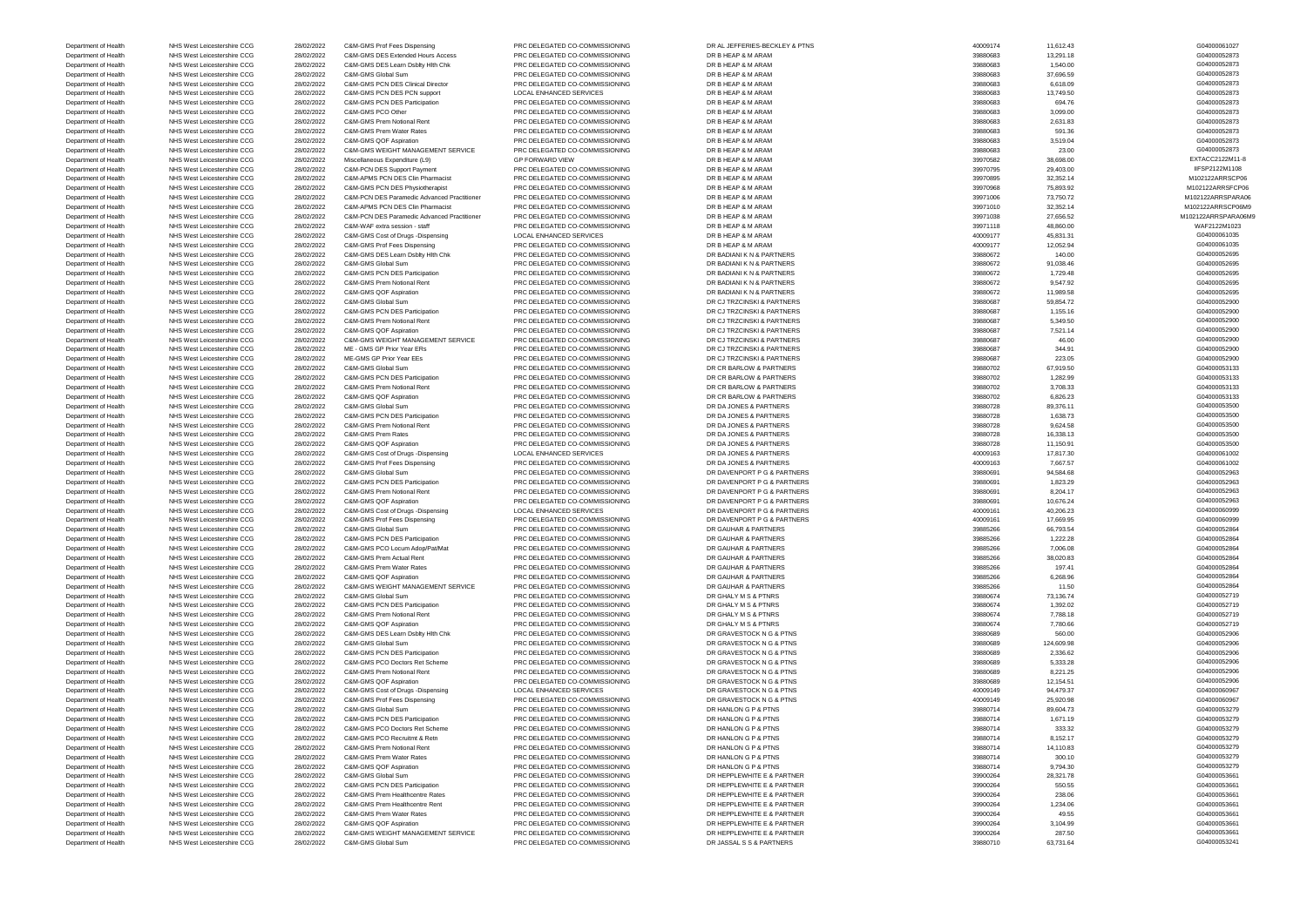Department of Health NHS West Leicestershire CCG 28/02/2022 C&M-GMS Prof Fees Dispensing PRC DELEGATED CO-COMMISSIONING DR AL JEFFERIES-BECKLEY & PTNS 40009174 11,612.43 11,612.43 G04000061027 Department of Health NHS West Leicestershire CCG 28/02/2022 C&M-GMS DES Extended Hours Access PRC DELEGATED CO-COMMISSIONING DR B HEAP & M ARAM 39880683 13,291.18 13,291.18 504000052873 Department of Health NHS West Leicestershire CCG 28/02/2022 C&M-GMS DES Learn Dsblty Hlth Chk PRC DELEGATED CO-COMMISSIONING DR B HEAP & M ARAM 39880683 39880683 1,540.00 1,540.00 504000052873 Department of Health NHS West Leicestershire CCG 28/02/2022 C&M-GMS Global Sum PRC DELEGATED CO-COMMISSIONING DR B HEAP & M ARAM 39880683 37,696.59 37,696.59 37,696.59 G04000052873 Department of Health NHS West Leicestershire CCG 28/02/2022 C&M-GMS PCN DES Clinical Director PRC DELEGATED CO-COMMISSIONING DR B HEAP & M ARAM 39880683 6,618.09 6,618.09 6,618.09 6,618.09 6,618.09 6,618.09 6,618.09 6,618. Department of Health NHS West Leicestershire CCG 28/02/2022 C&M-GMS PCN DES PCN support LOCAL ENHANCED SERVICES DR B HEAP & M ARAM 39880683 39880683 13,749.50 13,749.50 504000052873 Department of Health NHS West Leicestershire CCG 28/02/2022 C&M-GMS PCN DES Participation PRC DELEGATED CO-COMMISSIONING DR B HEAP & M ARAM 39880683 694.76 694.76 694.76 694000052873 Department of Health NHS West Leicestershire CCG 28/02/2022 C&M-GMS PCO Other PRC DELEGATED CO-COMMISSIONING DR B HEAP & M ARAM 39880683 39880683 3,099.00 3,099.00 S04000052873 Department of Health NHS West Leicestershire CCG 28/02/2022 C&M-GMS Prem Notional Rent PRC DELEGATED CO-COMMISSIONING DR B HEAP & M ARAM 39880683 2,631.83 2,631.83 2,631.83 39880683 2,631.83 39880683 2,631.83 39880683 2,63 Department of Health NHS West Leicestershire CCG 28/02/2022 C&M-GMS Prem Water Rates PRC DELEGATED CO-COMMISSIONING DR B HEAP & M ARAM 39880683 591.36 591.36 591.36 591.36 591.36 591.36 591.36 591.36 591.36 591.36 591.36 5 Department of Health NHS West Leicestershire CCG 28/02/2022 C&M-GMS QOF Aspiration PRC DELEGATED CO-COMMISSIONING DR B HEAP & M ARAM 39880683 3,519.04 39880683 3,519.04 504000052873 Department of Health NHS West Leicestershire CCG 28/02/2022 C&M-GMS WEIGHT MANAGEMENT SERVICE PRC DELEGATED CO-COMMISSIONING DR B HEAP & M ARAM 39880683 Department of Health NHS West Leicestershire CCG 28/02/2022 Miscellaneous Expenditure (L9) GP FORWARD VIEW DR B HEAP & M ARAM 39970582 38,698.00 EXTACC2122M11-8 Department of Health NHS West Leicestershire CCG 28/02/2022 C&M-PCN DES Support Payment PRC DELEGATED CO-COMMISSIONING DR B HEAP & M ARAM 39970795 29,403.00 29,403.00 IIFSP2122M1108 Department of Health NHS West Leicestershire CCG 28/02/2022 C&M-APMS PCN DES Clin Pharmacist PRC DELEGATED CO-COMMISSIONING DR B HEAP & M ARAM 39970895 32,352.14 39970895 32,352.14 M102122ARRSCP06 Department of Health NHS West Leicestershire CCG 28/02/2022 C&M-GMS PCN DES Physiotherapist PRC DELEGATED CO-COMMISSIONING DR B HEAP & M ARAM 39970968 75,893.92 768.93.92 M102122ARRSFCP06 Department of Health NHS West Leicestershire CCG 28/02/2022 C&M-PCN DES Paramedic Advanced Practitioner PRC DELEGATED CO-COMMISSIONING DR B HEAP & M ARAM 39971006 39971006 Department of Health NHS West Leicestershire CCG 28/02/2022 C&M-APMS PCN DES Clin Pharmacist PRC DELEGATED CO-COMMISSIONING DR B HEAP & M ARAM 39971010 32,352.14 39971010 32,352.14 M102122ARRSCP06M9 Department of Health NHS West Leicestershire CCG 28/02/2022 C&M-PCN DES Paramedic Advanced Practitioner PRC DELEGATED CO-COMMISSIONING DR B HEAP & M ARAM 39971038 27,656.52 27,656.52 M102122ARRSPARA06M9 Department of Health NHS West Leicestershire CCG 28/02/2022 C&M-WAF extra session - staff PRC DELEGATED CO-COMMISSIONING DR B HEAP & M ARAM 39971118 48,860.00 WAF2122M1023 Department of Health NHS West Leicestershire CCG 28/02/2022 C&M-GMS Cost of Drugs -Dispensing LOCAL ENHANCED SERVICES DR B HEAP & M ARAM 40009177 45,831.31 40009177 45,831.31 G04000061035 Department of Health NHS West Leicestershire CCG 28/02/2022 C&M-GMS Prof Fees Dispensing PRC DELEGATED CO-COMMISSIONING DR B HEAP & M ARAM 40009177 40009177 12,052.94 40009177 12,052.94 504000001035 Department of Health NHS West Leicestershire CCG 28/02/2022 C&M-GMS DES Learn Dsblty Hlth Chk PRC DELEGATED CO-COMMISSIONING DR BADIANI K N & PARTNERS 39880672 39880672 140.00 140.00 G04000052695 Department of Health NHS West Leicestershire CCG 28/02/2022 C&M-GMS Global Sum PRC DELEGATED CO-COMMISSIONING DR BADIANI K N & PARTNERS 39880672 91,038.46 39880672 91,038.46 G04000052695 Department of Health NHS West Leicestershire CCG 28/02/2022 C&M-GMS PCN DES Participation PRC DELEGATED CO-COMMISSIONING DR BADIANI K N & PARTNERS 39880672 39880672 1,729.48 1,729.48 G04000052695 Department of Health NHS West Leicestershire CCG 28/02/2022 C&M-GMS Prem Notional Rent PRC DELEGATED CO-COMMISSIONING DR BADIANI K N & PARTNERS 39880672 39880672 9,547.92 9,547.92 504000052695 Department of Health NHS West Leicestershire CCG 28/02/2022 C&M-GMS QOF Aspiration PRC DELEGATED CO-COMMISSIONING DR BADIANI K N & PARTNERS 39880672 Department of Health NHS West Leicestershire CCG 28/02/2022 C&M-GMS Global Sum PRC DELEGATED CO-COMMISSIONING DR CJ TRZCINSKI & PARTNERS 39880687 59,854.72 59880687 59,854.72 G04000052900 Department of Health NHS West Leicestershire CCG 28/02/2022 C&M-GMS PCN DES Participation PRC DELEGATED CO-COMMISSIONING DR CJ TRZCINSKI & PARTNERS 39880687 39880687 1,155.16 504000052900 Department of Health NHS West Leicestershire CCG 28/02/2022 C&M-GMS Prem Notional Rent PRC DELEGATED CO-COMMISSIONING DR CJ TRZCINSKI & PARTNERS 39880687 39880687 5,349.50 504000052900 Department of Health NHS West Leicestershire CCG 28/02/2022 C&M-GMS QOF Aspiration PRC DELEGATED CO-COMMISSIONING DR CJ TRZCINSKI & PARTNERS 39880687 7,521.14 7,521.14 604000052900 Department of Health NHS West Leicestershire CCG 28/02/2022 C&M-GMS WEIGHT MANAGEMENT SERVICE PRC DELEGATED CO-COMMISSIONING DR CJ TRZCINSKI & PARTNERS 39880687 Department of Health NHS West Leicestershire CCG 28/02/2022 ME - GMS GP Prior Year ERs PRC DELEGATED CO-COMMISSIONING DR CJ TRZCINSKI & PARTNERS 39880687 39880687 344.91 344.91 G04000052900 Department of Health NHS West Leicestershire CCG 28/02/2022 ME-GMS GP Prior Year EEs PRC DELEGATED CO-COMMISSIONING DR CJ TRZCINSKI & PARTNERS 39880687 223.05 223.05 223.05 G04000052900 Department of Health NHS West Leicestershire CCG 28/02/2022 C&M-GMS Global Sum PRC DELEGATED CO-COMMISSIONING DR CR BARLOW & PARTNERS 39880702 67,919.50 604000053133 Department of Health NHS West Leicestershire CCG 28/02/2022 C&M-GMS PCN DES Participation PRC DELEGATED CO-COMMISSIONING DR CR BARLOW & PARTNERS 39880702 39880702 1,282.99 1,282.99 39880702 1,282.99 504000053133 Department of Health NHS West Leicestershire CCG 28/02/2022 C&M-GMS Prem Notional Rent PRC DELEGATED CO-COMMISSIONING DR CR BARLOW & PARTNERS 39880702 Department of Health NHS West Leicestershire CCG 28/02/2022 C&M-GMS QOF Aspiration PRC DELEGATED CO-COMMISSIONING DR CR BARLOW & PARTNERS 39880702 39880702 6,826.23 69880702 6,826.23 6980702 6,826.23 6980702 6,826.23 69807 Department of Health NHS West Leicestershire CCG 28/02/2022 C&M-GMS Global Sum PRC DELEGATED CO-COMMISSIONING DR DA JONES & PARTNERS 39880728 39880728 89,376.11 89880728 89,376.11 Department of Health NHS West Leicestershire CCG 28/02/2022 C&M-GMS PCN DES Participation PRC DELEGATED CO-COMMISSIONING DR DA JONES & PARTNERS 39880728 39880728 1,638.73 1604000053500 Department of Health NHS West Leicestershire CCG 28/02/2022 C&M-GMS Prem Notional Rent PRC DELEGATED CO-COMMISSIONING DR DA JONES & PARTNERS 39880728 39880728 39880728 9,624.58 39880728 9,624.58 504000053500 Department of Health NHS West Leicestershire CCG 28/02/2022 C&M-GMS Prem Rates PRC DELEGATED CO-COMMISSIONING DR DA JONES & PARTNERS 39880728 39880728 16,338.13 604000053500 Department of Health NHS West Leicestershire CCG 28/02/2022 C&M-GMS QOF Aspiration PRC DELEGATED CO-COMMISSIONING DR DA JONES & PARTNERS 39880728 39880728 11,150.91 11,150.91 G04000053500 Department of Health NHS West Leicestershire CCG 28/02/2022 C&M-GMS Cost of Drugs -Dispensing LOCAL ENHANCED SERVICES DR DA JONES & PARTNERS 40009163 40009163 17,817.30 40000161002 Department of Health NHS West Leicestershire CCG 28/02/2022 C&M-GMS Prof Fees Dispensing PRC DELEGATED CO-COMMISSIONING DR DA JONES & PARTNERS 40009163 7,667.57 40009163 7,667.57 667.57 669000061002 Department of Health NHS West Leicestershire CCG 28/02/2022 C&M-GMS Global Sum PRC DELEGATED CO-COMMISSIONING DR DAVENPORT P G & PARTNERS 39880691 94,584.68 39880691 94,584.68 G04000052963 Department of Health NHS West Leicestershire CCG 28/02/2022 C&M-GMS PCN DES Participation PRC DELEGATED CO-COMMISSIONING DR DAVENPORT P G & PARTNERS 39880691 39880691 1,823.29 39880691 1,823.29 500000052963 Department of Health NHS West Leicestershire CCG 28/02/2022 C&M-GMS Prem Notional Rent PRC DELEGATED CO-COMMISSIONING DR DAVENPORT P G & PARTNERS 39880691 Department of Health NHS West Leicestershire CCG 28/02/2022 C&M-GMS QOF Aspiration PRC DELEGATED CO-COMMISSIONING DR DAVENPORT P G & PARTNERS 39880691 39880691 10,676.24 10,676.24 604000052963 Department of Health NHS West Leicestershire CCG 28/02/2022 C&M-GMS Cost of Drugs -Dispensing LOCAL ENHANCED SERVICES DR DAVENPORT P G & PARTNERS 40009161 40,206.23 40009161 40,206.23 G04000060999 Department of Health NHS West Leicestershire CCG 28/02/2022 C&M-GMS Prof Fees Dispensing PRC DELEGATED CO-COMMISSIONING DR DAVENPORT P G & PARTNERS 40009161 40009161 17,669.95 40009161 17,669.95 604000060999 Department of Health NHS West Leicestershire CCG 28/02/2022 C&M-GMS Global Sum PRC DELEGATED CO-COMMISSIONING DR GAUHAR & PARTNERS 39885266 86,793.54 660,793.54 G04000052864 Department of Health NHS West Leicestershire CCG 28/02/2022 C&M-GMS PCN DES Participation PRC DELEGATED CO-COMMISSIONING DR GAUHAR & PARTNERS 39885266 39885266 1,222.28 39885266 39885266 39885266 39885266 39885266 39885266 Department of Health NHS West Leicestershire CCG 28/02/2022 C&M-GMS PCO Locum Adop/Pat/Mat PRC DELEGATED CO-COMMISSIONING DR GAUHAR & PARTNERS 39885266 7,006.08 7,006.08 7,006.08 604000052864 Department of Health NHS West Leicestershire CCG 28/02/2022 C&M-GMS Prem Actual Rent PRC DELEGATED CO-COMMISSIONING DR GAUHAR & PARTNERS 39885266 Department of Health NHS West Leicestershire CCG 28/02/2022 C&M-GMS Prem Water Rates PRC DELEGATED CO-COMMISSIONING DR GAUHAR & PARTNERS 39885266 39885266 197.41 397.41 G04000052864 Department of Health NHS West Leicestershire CCG 28/02/2022 C&M-GMS QOF Aspiration PRC DELEGATED CO-COMMISSIONING DR GAUHAR & PARTNERS 39885266 39885266 6,268.96 6,268.96 6,268.96 6,268.96 6,268.96 6,268.96 6,268.96 6,268. Department of Health NHS West Leicestershire CCG 28/02/2022 C&M-GMS WEIGHT MANAGEMENT SERVICE PRC DELEGATED CO-COMMISSIONING DR GAUHAR & PARTNERS 39885266 39885266 11.50 11.50 504000052864 Department of Health NHS West Leicestershire CCG 28/02/2022 C&M-GMS Global Sum PRC DELEGATED CO-COMMISSIONING DR GHALY M S & PTNRS 39880674 Department of Health NHS West Leicestershire CCG 28/02/2022 C&M-GMS PCN DES Participation PRC DELEGATED CO-COMMISSIONING DR GHALY M S & PTNRS 39880674 39880674 1,392.02 1,392.02 504000052719 Department of Health NHS West Leicestershire CCG 28/02/2022 C&M-GMS Prem Notional Rent PRC DELEGATED CO-COMMISSIONING DR GHALY M S & PTNRS 2002 NHS West Leicestershire CCG 28/02/2022 C&M-GMS QOF Aspiration PRC DELEGATED CO Department of Health NHS West Leicestershire CCG 28/02/2022 C&M-GMS QOF Aspiration PRC DELEGATED CO-COMMISSIONING DR GHALY M S & PTNRS 39880674 Department of Health NHS West Leicestershire CCG 28/02/2022 C&M-GMS DES Learn Dsblty Hlth Chk PRC DELEGATED CO-COMMISSIONING DR GRAVESTOCK N G & PTNS 39880689 560.00 560.00 560.00 560.00 560.00 560.00 560.00 G04000052906 Department of Health NHS West Leicestershire CCG 28/02/2022 C&M-GMS Global Sum PRC DELEGATED CO-COMMISSIONING DR GRAVESTOCK N G & PTNS 39880689 124,609.98 124,609.98 124,609.98 C04000052906 Department of Health NHS West Leicestershire CCG 28/02/2022 C&M-GMS PCN DES Participation PRC DELEGATED CO-COMMISSIONING DR GRAVESTOCK N G & PTNS 39880689 2,39880689 Department of Health NHS West Leicestershire CCG 28/02/2022 C&M-GMS PCO Doctors Ret Scheme PRC DELEGATED CO-COMMISSIONING DR GRAVESTOCK N G & PTNS 39880689 5,333.28 5,333.28 5,333.28 5,033.28 5,333.28 5,333.28 5,333.28 5,3 Department of Health NHS West Leicestershire CCG 28/02/2022 C&M-GMS Prem Notional Rent PRC DELEGATED CO-COMMISSIONING DR GRAVESTOCK N G & PTNS 39880689 8,221.25 8680689 8,221.25 604000052906 Department of Health NHS West Leicestershire CCG 28/02/2022 C&M-GMS QOF Aspiration PRC DELEGATED CO-COMMISSIONING DR GRAVESTOCK N G & PTNS 39880689 12,154.51 39880689 12,154.51 G04000052906 Department of Health NHS West Leicestershire CCG 28/02/2022 C&M-GMS Cost of Drugs -Dispensing LOCAL ENHANCED SERVICES DR GRAVESTOCK N G & PTNS 40009149 94,479.37 94479.37 G04000060967 Department of Health NHS West Leicestershire CCG 28/02/2022 C&M-GMS Prof Fees Dispensing PRC DELEGATED CO-COMMISSIONING DR GRAVESTOCK N G & PTNS 40009149 25,920.98 40009149 25,920.98 G04000060967 Department of Health NHS West Leicestershire CCG 28/02/2022 C&M-GMS Global Sum PRC DELEGATED CO-COMMISSIONING DR HANLON G P & PTNS 39880714 39880714 89,604.73 604000053279 Department of Health NHS West Leicestershire CCG 28/02/2022 C&M-GMS PCN DES Participation PRC DELEGATED CO-COMMISSIONING DR HANLON G P & PTNS 39880714 39880714 1,671.19 1,671.19 604000053279 Department of Health NHS West Leicestershire CCG 28/02/2022 C&M-GMS PCO Doctors Ret Scheme PRC DELEGATED CO-COMMISSIONING DR HANLON G P & PTNS 39880714 39880714 333.32 33.32 G04000053279 Department of Health NHS West Leicestershire CCG 28/02/2022 C&M-GMS PCO Recruitmt & Retn PRC DELEGATED CO-COMMISSIONING DR HANLON G P & PTNS 39880714 39880714 8,152.17 600000053279 G04000053279 Department of Health NHS West Leicestershire CCG 28/02/2022 C&M-GMS Prem Notional Rent PRC DELEGATED CO-COMMISSIONING DR HANLON G P & PTNS 39880714 Department of Health NHS West Leicestershire CCG 28/02/2022 C&M-GMS Prem Water Rates PRC DELEGATED CO-COMMISSIONING DR HANLON G P & PTNS 39880714 39880714 300.10 30080714 300.10 G04000053279 Department of Health NHS West Leicestershire CCG 28/02/2022 C&M-GMS QOF Aspiration PRC DELEGATED CO-COMMISSIONING DR HANLON G P & PTNS 39880714 39880714 9,794.30 39880714 9,794.30 Department of Health NHS West Leicestershire CCG 28/02/2022 C&M-GMS Global Sum PRC DELEGATED CO-COMMISSIONING DR HEPPLEWHITE E & PARTNER 39900264 28,321.78 39900264 28,321.78 G04000053661 Department of Health NHS West Leicestershire CCG 28/02/2022 C&M-GMS PCN DES Participation PRC DELEGATED CO-COMMISSIONING DR HEPPLEWHITE E & PARTNER 39900264 Department of Health NHS West Leicestershire CCG 28/02/2022 C&M-GMS Prem Healthcentre Rates PRC DELEGATED CO-COMMISSIONING DR HEPPLEWHITE E & PARTNER 39900264 238.06 238.06 238.06 238.06 238.06 238.06 238.06 238.06 238.06 Department of Health NHS West Leicestershire CCG 28/02/2022 C&M-GMS Prem Healthcentre Rent PRC DELEGATED CO-COMMISSIONING DR HEPPLEWHITE E & PARTNER 39900264 39900264 1,234.06 39900264 1,234.06 504000053661 Department of Health NHS West Leicestershire CCG 28/02/2022 C&M-GMS Prem Water Rates PRC DELEGATED CO-COMMISSIONING DR HEPPLEWHITE E & PARTNER 39900264 39900264 49.55 49.55 G04000053661 Department of Health NHS West Leicestershire CCG 28/02/2022 C&M-GMS QOF Aspiration PRC DELEGATED CO-COMMISSIONING DR HEPPLEWHITE E & PARTNER 39900264 3,9004.99 39900264 3,104.99 SOM GO4000053661 Department of Health NHS West Leicestershire CCG 28/02/2022 C&M-GMS WEIGHT MANAGEMENT SERVICE PRC DELEGATED CO-COMMISSIONING DR HEPPLEWHITE E & PARTNER 39900264 39900264 287.50 287.50 39900264 287.50 G04000053661 Department of Health NHS West Leicestershire CCG 28/02/2022 C&M-GMS Global Sum PRC DELEGATED CO-COMMISSIONING DR JASSAL S S & PARTNERS 39880710 63,731.64 63,731.64 694000053241

| G04000061027        |
|---------------------|
| G04000052873        |
| G04000052873        |
| G04000052873        |
| G04000052873        |
| G04000052873        |
| G04000052873        |
| G04000052873        |
| G04000052873        |
|                     |
| G04000052873        |
| G04000052873        |
| G04000052873        |
| EXTACC2122M11-8     |
| IIFSP2122M1108      |
| M102122ARRSCP06     |
| M102122ARRSFCP06    |
| M102122ARRSPARA06   |
| M102122ARRSCP06M9   |
| M102122ARRSPARA06M9 |
| WAF2122M1023        |
| G04000061035        |
| G04000061035        |
| G04000052695        |
|                     |
| G04000052695        |
| G04000052695        |
| G04000052695        |
| G04000052695        |
| G04000052900        |
| G04000052900        |
| G04000052900        |
| G04000052900        |
| G04000052900        |
| G04000052900        |
| G04000052900        |
| G04000053133        |
| G04000053133        |
|                     |
| G04000053133        |
| G04000053133        |
| G04000053500        |
| G04000053500        |
| G04000053500        |
| G04000053500        |
| G04000053500        |
| G04000061002        |
| G04000061002        |
| G04000052963        |
| G04000052963        |
| G04000052963        |
| G04000052963        |
| G04000060999        |
| G04000060999        |
|                     |
| G04000052864        |
| G04000052864        |
| G04000052864        |
| G04000052864        |
| G04000052864        |
| G04000052864        |
| G04000052864        |
| G04000052719        |
| G04000052719        |
| G04000052719        |
| G04000052719        |
| G04000052906        |
| G04000052906        |
| G04000052906        |
| G04000052906        |
| G04000052906        |
| G04000052906        |
|                     |
| G04000060967        |
| G04000060967        |
| G04000053279        |
| G04000053279        |
| G04000053279        |
| G04000053279        |
| G04000053279        |
| G04000053279        |
| G04000053279        |
| G04000053661        |
| G04000053661        |
| G04000053661        |
| G04000053661        |
| G04000053661        |
| G04000053661        |
| G04000053661        |
| G04000053241        |
|                     |

| 11,612.4<br>13,291.1 |
|----------------------|
|                      |
| 1,540.0              |
| 37,696.5             |
| 6,618.0              |
| 13,749.5             |
| 694.7                |
| 3,099.0              |
| 2,631.8              |
| 591.3                |
| 3,519.0              |
| 23.0                 |
| 38,698.0             |
|                      |
| 29,403.0             |
| 32,352.1             |
| 75,893.9             |
| 73,750.7             |
| 32,352.1             |
| 27,656.5             |
| 48,860.0             |
| 45,831.3             |
| 12,052.9             |
| 140.0                |
| 91,038.4             |
| 1,729.4              |
|                      |
| 9,547.9              |
| 11,989.5             |
| 59,854.7             |
| 1,155.1              |
| 5,349.5              |
| 7,521.1              |
| 46.0                 |
| 344.9                |
| 223.0                |
| 67,919.5             |
| 1,282.9              |
|                      |
| 3,708.3              |
| 6,826.2              |
| 89,376.1             |
| 1,638.7              |
| 9,624.5              |
|                      |
| 16,338.1             |
| 11,150.9             |
| 17,817.3             |
|                      |
| 7,667.5              |
| 94,584.6             |
| 1,823.2              |
| 8,204.1              |
| 10,676.2             |
| 40,206.2             |
| 17,669.9             |
| 66,793.5             |
| 1,222.2              |
| 7,006.0              |
| 38,020.8             |
| 197.4                |
| 6,268.9              |
| 11.5                 |
| 73,136.7             |
| 1,392.0              |
| 7,788.1              |
| 7,780.6              |
|                      |
| 560.0                |
| 124,609.9            |
| 2,336.6              |
| 5,333.2              |
| 8,221.2              |
| 12,154.5             |
| 94,479.3             |
| 25,920.9             |
| 89,604.7             |
| 1,671.1              |
| 333.3                |
| 8,152.1              |
|                      |
| 14,110.8             |
| 300.1                |
| 9,794.3              |
| 28,321.7             |
| 550.5                |
| 238.0                |
| 1,234.0              |
| 49.5                 |
| 3,104.9<br>287.5     |
|                      |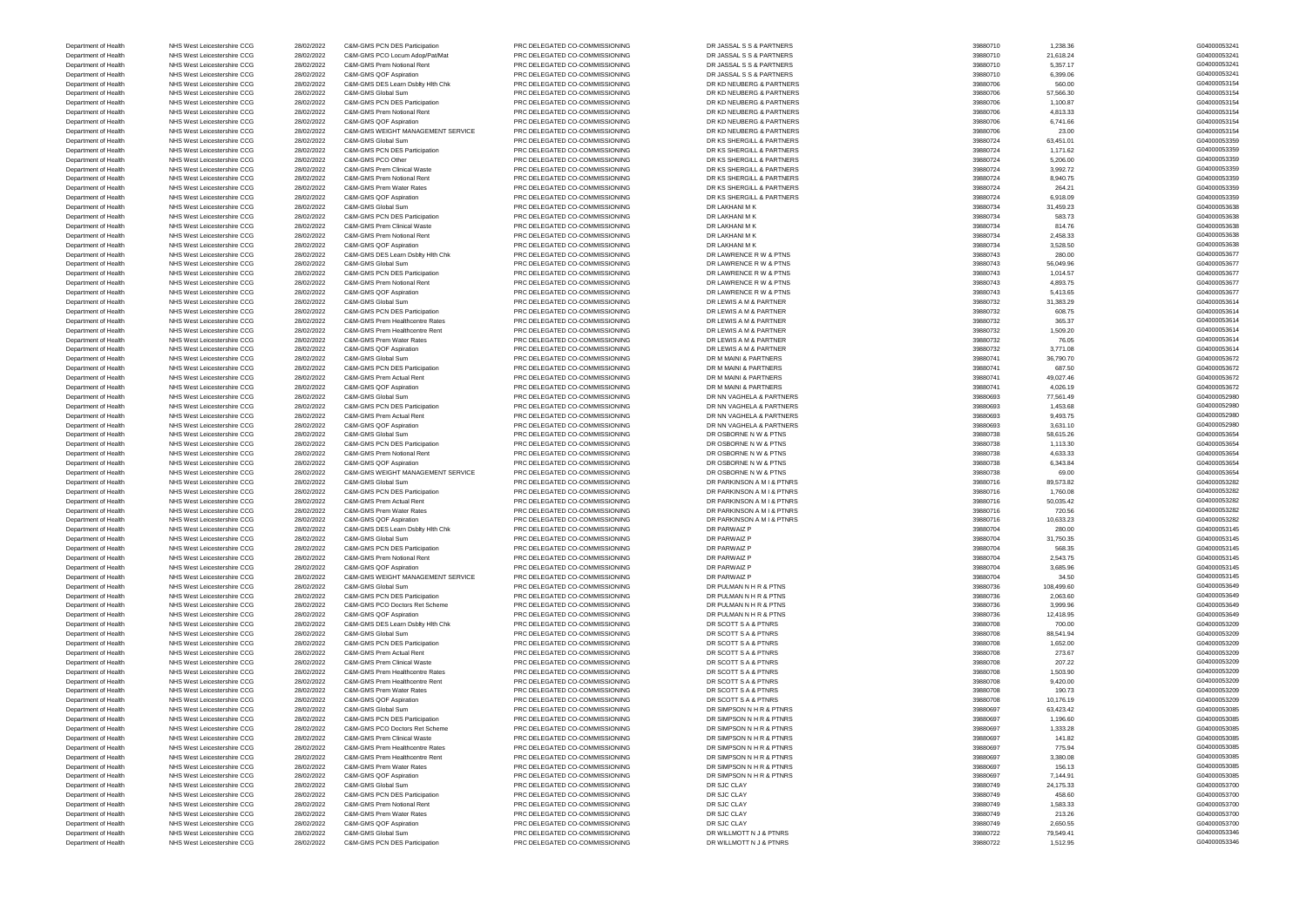Department of Health NHS West Leicestershire CCG 28/02/2022 C&M-GMS PCN DES Participation PRC DELEGATED CO-COMMISSIONING DR JASSAL S S & PARTNERS 39880710 39880710 1,238.36 39880710 1,238.36 39880710 1,238.36 5 4 ARTNERS 2 Department of Health NHS West Leicestershire CCG 28/02/2022 C&M-GMS PCO Locum Adop/Pat/Mat PRC DELEGATED CO-COMMISSIONING DR JASSAL S S & PARTNERS 39880710 21,618.24 239880710 21,618.24 G04000053241 Department of Health NHS West Leicestershire CCG 28/02/2022 C&M-GMS Prem Notional Rent PRC DELEGATED CO-COMMISSIONING DR JASSAL S S & PARTNERS 39880710 39880710 5,357.17 59880710 5,357.17 59980710 5,357.17 59980710 5,357.1 Department of Health NHS West Leicestershire CCG 28/02/2022 C&M-GMS QOF Aspiration PRC DELEGATED CO-COMMISSIONING DR JASSAL S S & PARTNERS 39880710 89880710 6,399.06 604000053241 Department of Health NHS West Leicestershire CCG 28/02/2022 C&M-GMS DES Learn Dsblty Hlth Chk PRC DELEGATED CO-COMMISSIONING DR KD NEUBERG & PARTNERS 39880706 39880706 560.00 560.00 560.00 560.00 560.00 560.00 G04000053154 Department of Health NHS West Leicestershire CCG 28/02/2022 C&M-GMS Global Sum PRC DELEGATED CO-COMMISSIONING DR KD NEUBERG & PARTNERS 39880706 39880706 Department of Health NHS West Leicestershire CCG 28/02/2022 C&M-GMS PCN DES Participation PRC DELEGATED CO-COMMISSIONING DR KD NEUBERG & PARTNERS 39880706 39880706 1,100.87 39880706 1,100.87 G04000053154 Department of Health NHS West Leicestershire CCG 28/02/2022 C&M-GMS Prem Notional Rent PRC DELEGATED CO-COMMISSIONING DR KD NEUBERG & PARTNERS 39880706 4,813.33 4664000053154 Department of Health NHS West Leicestershire CCG 28/02/2022 C&M-GMS QOF Aspiration PRC DELEGATED CO-COMMISSIONING DR KD NEUBERG & PARTNERS 39880706 39880706 6,741.66 66 6741.66 604000053154 Department of Health NHS West Leicestershire CCG 28/02/2022 C&M-GMS WEIGHT MANAGEMENT SERVICE PRC DELEGATED CO-COMMISSIONING DR KD NEUBERG & PARTNERS 39880706 23.00 23.00 23.00 23.00 S04000053154 Department of Health NHS West Leicestershire CCG 28/02/2022 C&M-GMS Global Sum PRC DELEGATED CO-COMMISSIONING DR KS SHERGILL & PARTNERS 39880724 63,451.01 604000053359 Department of Health NHS West Leicestershire CCG 28/02/2022 C&M-GMS PCN DES Participation PRC DELEGATED CO-COMMISSIONING DR KS SHERGILL & PARTNERS 39880724 39880724 1,171.62 1,171.62 504000053359 Department of Health NHS West Leicestershire CCG 28/02/2022 C&M-GMS PCO Other PRC DELEGATED CO-COMMISSIONING DR KS SHERGILL & PARTNERS 39880724 5,206.00 GMS SHERGILL & PARTNERS Department of Health NHS West Leicestershire CCG 28/02/2022 C&M-GMS Prem Clinical Waste PRC DELEGATED CO-COMMISSIONING DR KS SHERGILL & PARTNERS 39880724 39880724 3,992.72 39880724 3,992.72 G04000053359 Department of Health NHS West Leicestershire CCG 28/02/2022 C&M-GMS Prem Notional Rent PRC DELEGATED CO-COMMISSIONING DR KS SHERGILL & PARTNERS 39880724 39880724 8,940.75 89880724 8,940.75 604000053359 Department of Health NHS West Leicestershire CCG 28/02/2022 C&M-GMS Prem Water Rates PRC DELEGATED CO-COMMISSIONING DR KS SHERGILL & PARTNERS 39880724 264.21 264.21 264.21 264.21 G04000053359 Department of Health NHS West Leicestershire CCG 28/02/2022 C&M-GMS QOF Aspiration PRC DELEGATED CO-COMMISSIONING DR KS SHERGILL & PARTNERS 39880724 39880724 Department of Health NHS West Leicestershire CCG 28/02/2022 C&M-GMS Global Sum PRC DELEGATED CO-COMMISSIONING DR LAKHANI M K 31,459.23 39880734 31,459.23 39880734 31,459.23 G04000053638 Department of Health NHS West Leicestershire CCG 28/02/2022 C&M-GMS PCN DES Participation PRC DELEGATED CO-COMMISSIONING DR LAKHANI M K 39880734 39880734 583.73 583.73 G04000053638 Department of Health NHS West Leicestershire CCG 28/02/2022 C&M-GMS Prem Clinical Waste PRC DELEGATED CO-COMMISSIONING DR LAKHANI M K 39880734 814.76 814.76 814.76 814.000053638 Department of Health NHS West Leicestershire CCG 28/02/2022 C&M-GMS Prem Notional Rent PRC DELEGATED CO-COMMISSIONING DR LAKHANI M K 39880734 39880734 2,458.33 G04000053638 Department of Health NHS West Leicestershire CCG 28/02/2022 C&M-GMS QOF Aspiration PRC DELEGATED CO-COMMISSIONING DR LAKHANI M K 39880734 39880734 3,528.50 39880734 3,528.50 G04000053638 Department of Health NHS West Leicestershire CCG 28/02/2022 C&M-GMS DES Learn Dsblty Hlth Chk PRC DELEGATED CO-COMMISSIONING DR LAWRENCE R W & PTNS 39880743 280.00 280.00 280.00 280.00 C04000053677 Department of Health NHS West Leicestershire CCG 28/02/2022 C&M-GMS Global Sum PRC DELEGATED CO-COMMISSIONING DR LAWRENCE R W & PTNS 39880743 56,049.96 56,049.96 56,049.96 56,049.96 56,049.96 56,049.96 56,049.96 56,049.96 Department of Health NHS West Leicestershire CCG 28/02/2022 C&M-GMS PCN DES Participation PRC DELEGATED CO-COMMISSIONING DR LAWRENCE R W & PTNS 39880743 39880743 1,014.57 39880743 1,014.57 604000053677 Department of Health NHS West Leicestershire CCG 28/02/2022 C&M-GMS Prem Notional Rent PRC DELEGATED CO-COMMISSIONING DR LAWRENCE R W & PTNS 39880743 4,893.75 4,893.75 4,893.75 604000053677 Department of Health NHS West Leicestershire CCG 28/02/2022 C&M-GMS QOF Aspiration PRC DELEGATED CO-COMMISSIONING DR LAWRENCE R W & PTNS 39880743 Department of Health NHS West Leicestershire CCG 28/02/2022 C&M-GMS Global Sum PRC DELEGATED CO-COMMISSIONING DR LEWIS A M & PARTNER 39880732 31,383.29 31,383.29 31,383.29 504000053614 Department of Health NHS West Leicestershire CCG 28/02/2022 C&M-GMS PCN DES Participation PRC DELEGATED CO-COMMISSIONING DR LEWIS A M & PARTNER 39880732 608.75 608.75 608.75 608.79 609000053614 Department of Health NHS West Leicestershire CCG 28/02/2022 C&M-GMS Prem Healthcentre Rates PRC DELEGATED CO-COMMISSIONING DR LEWIS A M & PARTNER 39880732 39880732 365.37 365.37 G04000053614 Department of Health NHS West Leicestershire CCG 28/02/2022 C&M-GMS Prem Healthcentre Rent PRC DELEGATED CO-COMMISSIONING DR LEWIS A M & PARTNER 39880732 1,509.20 1,509.20 1,509.20 604000053614 Department of Health NHS West Leicestershire CCG 28/02/2022 C&M-GMS Prem Water Rates PRC DELEGATED CO-COMMISSIONING DR LEWIS A M & PARTNER 39880732 76.05 76.05 76.05 604000053614 Department of Health NHS West Leicestershire CCG 28/02/2022 C&M-GMS QOF Aspiration PRC DELEGATED CO-COMMISSIONING DR LEWIS A M & PARTNER 39880732 3,771.08 39880732 3,771.08 G04000053614 Department of Health NHS West Leicestershire CCG 28/02/2022 C&M-GMS Global Sum PRC DELEGATED CO-COMMISSIONING DR M MAINI & PARTNERS 39880741 36,790.70 39880741 36,790.70 S04000053672 Department of Health NHS West Leicestershire CCG 28/02/2022 C&M-GMS PCN DES Participation PRC DELEGATED CO-COMMISSIONING DR M MAINI & PARTNERS 39880741 39880741 687.50 697.50 G04000053672 Department of Health NHS West Leicestershire CCG 28/02/2022 C&M-GMS Prem Actual Rent PRC DELEGATED CO-COMMISSIONING DR M MAINI & PARTNERS 39880741 49,027.46 49,027.46 49,027.46 604000053672 Department of Health NHS West Leicestershire CCG 28/02/2022 C&M-GMS QOF Aspiration PRC DELEGATED CO-COMMISSIONING DR M MAINI & PARTNERS 39880741 Department of Health NHS West Leicestershire CCG 28/02/2022 C&M-GMS Global Sum PRC DELEGATED CO-COMMISSIONING DR NN VAGHELA & PARTNERS 39880693 Department of Health NHS West Leicestershire CCG 28/02/2022 C&M-GMS PCN DES Participation PRC DELEGATED CO-COMMISSIONING DR NN VAGHELA & PARTNERS 39880693 39880693 1,453.68 39880693 1,453.68 39880693 1,453.68 G04000052980 Department of Health NHS West Leicestershire CCG 28/02/2022 C&M-GMS Prem Actual Rent PRC DELEGATED CO-COMMISSIONING DR NN VAGHELA & PARTNERS 39880693 9,493.75 9,493.75 9,493.75 (604000052980 Department of Health NHS West Leicestershire CCG 28/02/2022 C&M-GMS QOF Aspiration PRC DELEGATED CO-COMMISSIONING DR NN VAGHELA & PARTNERS 39880693 39880693 3,631.10 39880693 3,631.10 G04000052980 Department of Health NHS West Leicestershire CCG 28/02/2022 C&M-GMS Global Sum PRC DELEGATED CO-COMMISSIONING DR OSBORNE N W & PTNS 39880738 5880738 Department of Health NHS West Leicestershire CCG 28/02/2022 C&M-GMS PCN DES Participation PRC DELEGATED CO-COMMISSIONING DR OSBORNE N W & PTNS 39880738 39880738 1,113.30 39880738 1,113.30 504000053654 Department of Health NHS West Leicestershire CCG 28/02/2022 C&M-GMS Prem Notional Rent PRC DELEGATED CO-COMMISSIONING DR OSBORNE N W & PTNS 39880738 4,633.33 46633.33 46633.33 4664000053654 Department of Health NHS West Leicestershire CCG 28/02/2022 C&M-GMS QOF Aspiration PRC DELEGATED CO-COMMISSIONING DR OSBORNE N W & PTNS 39880738 39880738 6,343.84 664000053654 Department of Health NHS West Leicestershire CCG 28/02/2022 C&M-GMS WEIGHT MANAGEMENT SERVICE PRC DELEGATED CO-COMMISSIONING DR OSBORNE N W & PTNS 39880738 69.00 604000053654 Department of Health NHS West Leicestershire CCG 28/02/2022 C&M-GMS Global Sum PRC DELEGATED CO-COMMISSIONING DR PARKINSON A M I & PTNRS 39880716 89,573.82 39880716 89,573.82 G04000053282 Department of Health NHS West Leicestershire CCG 28/02/2022 C&M-GMS PCN DES Participation PRC DELEGATED CO-COMMISSIONING DR PARKINSON A M I & PTNRS 39880716 Department of Health NHS West Leicestershire CCG 28/02/2022 C&M-GMS Prem Actual Rent PRC DELEGATED CO-COMMISSIONING DR PARKINSON A M I & PTNRS 39880716 39880716 50,035.42 50,035.42 G04000053282 Department of Health NHS West Leicestershire CCG 28/02/2022 C&M-GMS Prem Water Rates PRC DELEGATED CO-COMMISSIONING DR PARKINSON A M I & PTNRS 39880716 739880716 Department of Health NHS West Leicestershire CCG 28/02/2022 C&M-GMS QOF Aspiration PRC DELEGATED CO-COMMISSIONING DR PARKINSON A M I & PTNRS 39880716 39880716 10,633.23 10 504000053282 Department of Health NHS West Leicestershire CCG 28/02/2022 C&M-GMS DES Learn Dsblty Hlth Chk PRC DELEGATED CO-COMMISSIONING DR PARWAIZ P 39880704 280.00 280.00 280.00 280.00 C04000053145 Department of Health NHS West Leicestershire CCG 28/02/2022 C&M-GMS Global Sum PRC DELEGATED CO-COMMISSIONING DR PARWAIZ P 39880704 31,750.35 39880704 31,750.35 G04000053145 Department of Health NHS West Leicestershire CCG 28/02/2022 C&M-GMS PCN DES Participation PRC DELEGATED CO-COMMISSIONING DR PARWAIZ P 39880704 568.35 568.35 G04000053145 Department of Health NHS West Leicestershire CCG 28/02/2022 C&M-GMS Prem Notional Rent PRC DELEGATED CO-COMMISSIONING DR PARWAIZ P 39880704 Department of Health NHS West Leicestershire CCG 28/02/2022 C&M-GMS QOF Aspiration PRC DELEGATED CO-COMMISSIONING DR PARWAIZ P 39880704 39880704 3,685.96 39880704 3,685.96 G04000053145 Department of Health NHS West Leicestershire CCG 28/02/2022 C&M-GMS WEIGHT MANAGEMENT SERVICE PRC DELEGATED CO-COMMISSIONING DR PARWAIZ P 39880704 39880704 34.50 39880704 34.50 G04000053145 Department of Health NHS West Leicestershire CCG 28/02/2022 C&M-GMS Global Sum PRC DELEGATED CO-COMMISSIONING DR PULMAN N H R & PTNS 39880736 39880736 108,499.60 108,499.60 108,499.60 604000053649 Department of Health NHS West Leicestershire CCG 28/02/2022 C&M-GMS PCN DES Participation PRC DELEGATED CO-COMMISSIONING DR PULMAN N H R & PTNS 39880736 29880736 Department of Health NHS West Leicestershire CCG 28/02/2022 C&M-GMS PCO Doctors Ret Scheme PRC DELEGATED CO-COMMISSIONING DR PULMAN N H R & PTNS 39880736 3,999.96 3,999.96 3,999.96 3,999.96 3,999.96 504000053649 Department of Health NHS West Leicestershire CCG 28/02/2022 C&M-GMS QOF Aspiration PRC DELEGATED CO-COMMISSIONING DR PULMAN N H R & PTNS 39880736 39880736 Department of Health NHS West Leicestershire CCG 28/02/2022 C&M-GMS DES Learn Dsblty Hlth Chk PRC DELEGATED CO-COMMISSIONING DR SCOTT S A & PTNRS 79880708 79880708 Department of Health NHS West Leicestershire CCG 28/02/2022 C&M-GMS Global Sum PRC DELEGATED CO-COMMISSIONING DR SCOTT S A & PTNRS 39880708 88,541.94 88,541.94 604000053209 Department of Health NHS West Leicestershire CCG 28/02/2022 C&M-GMS PCN DES Participation PRC DELEGATED CO-COMMISSIONING DR SCOTT S A & PTNRS 39880708 39880708 1,652.00 1,652.00 604000053209 Department of Health NHS West Leicestershire CCG 28/02/2022 C&M-GMS Prem Actual Rent PRC DELEGATED CO-COMMISSIONING DR SCOTT S A & PTNRS 29880708 2880708 Department of Health NHS West Leicestershire CCG 28/02/2022 C&M-GMS Prem Clinical Waste PRC DELEGATED CO-COMMISSIONING DR SCOTT S A & PTNRS 39880708 39880708 207.22 207.22 GMO00053209 Department of Health NHS West Leicestershire CCG 28/02/2022 C&M-GMS Prem Healthcentre Rates PRC DELEGATED CO-COMMISSIONING DR SCOTT S A & PTNRS 39880708 39880708 1,503.90 1,503.90 504000053209 Department of Health NHS West Leicestershire CCG 28/02/2022 C&M-GMS Prem Healthcentre Rent PRC DELEGATED CO-COMMISSIONING DR SCOTT S A & PTNRS 39880708 39880708 9,420.00 9,420.00 S04000053209 Department of Health NHS West Leicestershire CCG 28/02/2022 C&M-GMS Prem Water Rates PRC DELEGATED CO-COMMISSIONING DR SCOTT S A & PTNRS 39880708 39880708 190.73 190.73 G04000053209 Department of Health NHS West Leicestershire CCG 28/02/2022 C&M-GMS QOF Aspiration PRC DELEGATED CO-COMMISSIONING DR SCOTT S A & PTNRS 39880708 39880708 10,176.19 1000053209 Department of Health NHS West Leicestershire CCG 28/02/2022 C&M-GMS Global Sum PRC DELEGATED CO-COMMISSIONING DR SIMPSON N H R & PTNRS 39880697 63,423.42 663,423.42 663,423.42 G04000053085 Department of Health NHS West Leicestershire CCG 28/02/2022 C&M-GMS PCN DES Participation PRC DELEGATED CO-COMMISSIONING DR SIMPSON N H R & PTNRS 39880697 39880697 1,196.60 1,196.60 504000053085 Department of Health NHS West Leicestershire CCG 28/02/2022 C&M-GMS PCO Doctors Ret Scheme PRC DELEGATED CO-COMMISSIONING DR SIMPSON N H R & PTNRS 39880697 39880697 1,333.28 1,333.28 504000053085 Department of Health NHS West Leicestershire CCG 28/02/2022 C&M-GMS Prem Clinical Waste PRC DELEGATED CO-COMMISSIONING DR SIMPSON N H R & PTNRS 39880697 39880697 141.82 141.82 G04000053085 Department of Health NHS West Leicestershire CCG 28/02/2022 C&M-GMS Prem Healthcentre Rates PRC DELEGATED CO-COMMISSIONING DR SIMPSON N H R & PTNRS 39880697 Department of Health NHS West Leicestershire CCG 28/02/2022 C&M-GMS Prem Healthcentre Rent PRC DELEGATED CO-COMMISSIONING DR SIMPSON N H R & PTNRS 39880697 3,380.08 39880697 3,380.08 G04000053085 Department of Health NHS West Leicestershire CCG 28/02/2022 C&M-GMS Prem Water Rates PRC DELEGATED CO-COMMISSIONING DR SIMPSON N H R & PTNRS 39880697 156.13 156.13 G04000053085 Department of Health NHS West Leicestershire CCG 28/02/2022 C&M-GMS QOF Aspiration PRC DELEGATED CO-COMMISSIONING DR SIMPSON N H R & PTNRS 2002 2002 2002 2002 CAM-GMS Global Sum PRC DELEGATED CO-COMMISSIONING DR SJC CLAY Department of Health NHS West Leicestershire CCG 28/02/2022 C&M-GMS Global Sum PRC DELEGATED CO-COMMISSIONING DR SJC CLAY DR SJC CLAY 39880749 Department of Health NHS West Leicestershire CCG 28/02/2022 C&M-GMS PCN DES Participation PRC DELEGATED CO-COMMISSIONING DR SJC CLAY DR SJC CLAY 39880749 458.60 458.60 458.60 604000053700 Department of Health NHS West Leicestershire CCG 28/02/2022 C&M-GMS Prem Notional Rent PRC DELEGATED CO-COMMISSIONING DR SJC CLAY DR SJC CLAY 39880749 1,583.33 16604000053700 Department of Health NHS West Leicestershire CCG 28/02/2022 C&M-GMS Prem Water Rates PRC DELEGATED CO-COMMISSIONING DR SJC CLAY DR STC CLAY 39880749 213.26 213.26 213.26 G04000053700 Department of Health NHS West Leicestershire CCG 28/02/2022 C&M-GMS QOF Aspiration PRC DELEGATED CO-COMMISSIONING DR SJC CLAY DR STC CLAY 39880749 2,650.55 39880749 2,650.55 G04000053700 Department of Health NHS West Leicestershire CCG 28/02/2022 C&M-GMS Global Sum PRC DELEGATED CO-COMMISSIONING DR WILLMOTT N J & PTNRS 39880722 79,549.41 79,549.41 604000053346 Department of Health NHS West Leicestershire CCG 28/02/2022 C&M-GMS PCN DES Participation PRC DELEGATED CO-COMMISSIONING DR WILLMOTT N J & PTNRS 39880722 1,512.95 39880722 1,512.95 604000053346

| G04000053241      |
|-------------------|
| G04000053241      |
| G04000053241      |
|                   |
| G04000053241      |
| G04000053154      |
| G04000053154      |
| G04000053154      |
| G04000053154      |
|                   |
| G04000053154      |
| G04000053154      |
| G04000053359      |
| G04000053359      |
| G04000053359      |
| G04000053359      |
|                   |
| G04000053359      |
| G04000053359      |
| G04000053359      |
|                   |
| G04000053638      |
| G04000053638      |
| G04000053638      |
| G04000053638      |
|                   |
| G04000053638      |
| G04000053677      |
| G04000053677      |
| G04000053677      |
|                   |
| G04000053677      |
| G04000053677      |
| G04000053614      |
| G04000053614      |
| G04000053614      |
|                   |
| G04000053614      |
| G04000053614      |
| G04000053614      |
|                   |
| G04000053672      |
| G04000053672      |
| G04000053672      |
| G04000053672      |
|                   |
| G04000052980      |
| G04000052980      |
| G04000052980      |
| G04000052980      |
|                   |
| G04000053654      |
|                   |
| G04000053654      |
| G04000053654      |
|                   |
| G04000053654      |
| G04000053654      |
| G04000053282      |
| G04000053282      |
| G04000053282      |
|                   |
| G04000053282      |
| G04000053282      |
| G04000053145      |
| 604000053145<br>C |
|                   |
| G04000053145      |
| G04000053145      |
| G04000053145      |
| G04000053145      |
|                   |
| G04000053649      |
| G04000053649      |
| G04000053649      |
| G04000053649      |
| G04000053209      |
|                   |
| G04000053209      |
| G04000053209      |
| G04000053209      |
|                   |
| G04000053209      |
| G04000053209      |
| G04000053209      |
| G04000053209      |
| G04000053209      |
| G04000053085      |
|                   |
| G04000053085      |
| G04000053085      |
| G04000053085      |
| G04000053085      |
|                   |
| G04000053085      |
| G04000053085      |
| G04000053085      |
| G04000053700      |
|                   |
| G04000053700      |
| G04000053700      |
| G04000053700      |
| G04000053700      |
| G04000053346      |

|   |           |  | 1,238.36<br>21,618.24 |  |
|---|-----------|--|-----------------------|--|
|   |           |  |                       |  |
|   |           |  | 5,357.17              |  |
|   |           |  | 6,399.06              |  |
|   |           |  | 560.00                |  |
|   |           |  | 57,566.30             |  |
|   |           |  | 1,100.87              |  |
|   |           |  | 4,813.33              |  |
|   |           |  | 6,741.66              |  |
|   |           |  | 23.00                 |  |
|   |           |  | 63,451.01             |  |
|   |           |  | 1,171.62              |  |
|   |           |  | 5,206.00              |  |
|   |           |  | 3,992.72              |  |
|   |           |  | 8,940.75              |  |
|   |           |  | 264.21                |  |
|   |           |  |                       |  |
|   |           |  | 6,918.09              |  |
|   |           |  | 31,459.23             |  |
|   |           |  | 583.73                |  |
|   |           |  | 814.76                |  |
|   |           |  | 2,458.33              |  |
|   |           |  | 3,528.50              |  |
|   |           |  | 280.00                |  |
|   |           |  | 56,049.96             |  |
|   |           |  | 1,014.57              |  |
|   |           |  | 4,893.75              |  |
|   |           |  | 5,413.65              |  |
|   |           |  | 31,383.29             |  |
|   |           |  | 608.75                |  |
|   |           |  | 365.37                |  |
|   |           |  | 1,509.20              |  |
|   |           |  | 76.05                 |  |
|   |           |  |                       |  |
|   |           |  | 3,771.08              |  |
|   |           |  | 36,790.70             |  |
|   |           |  | 687.50                |  |
|   |           |  | 49,027.46             |  |
|   |           |  | 4,026.19              |  |
| 7 | 7         |  | ,561.49               |  |
|   |           |  | 1,453.68              |  |
|   |           |  | 9,493.75              |  |
|   |           |  | 3,631.10              |  |
|   |           |  | 58,615.26             |  |
|   |           |  | 1,113.30              |  |
|   |           |  | 4,633.33              |  |
|   |           |  | 6,343.84              |  |
|   |           |  | 69.00                 |  |
|   |           |  | 89,573.82             |  |
|   |           |  |                       |  |
|   |           |  | 1,760.08              |  |
|   |           |  |                       |  |
|   | 50,035.42 |  |                       |  |
|   |           |  | 720.56                |  |
|   |           |  | 10,633.23             |  |
|   |           |  | 280.00                |  |
|   |           |  | 31,750.35             |  |
|   |           |  | 568.35                |  |
|   |           |  |                       |  |
|   |           |  | 2,543.75<br>3,685.96  |  |
|   |           |  | 34.50                 |  |
|   |           |  | 108,499.60            |  |
|   |           |  |                       |  |
|   |           |  | 2,063.60              |  |
|   |           |  | 3,999.96              |  |
|   |           |  | 12,418.95             |  |
|   |           |  | 700.00                |  |
|   |           |  | 88,541.94             |  |
|   |           |  | 1,652.00              |  |
|   |           |  | 273.67                |  |
|   |           |  | 207.22                |  |
|   |           |  | 1,503.90              |  |
|   |           |  | 9,420.00              |  |
|   |           |  | 190.73                |  |
|   |           |  | 10,176.19             |  |
|   |           |  | 63,423.42             |  |
|   |           |  | 1,196.60              |  |
|   |           |  | 1,333.28              |  |
|   |           |  | 141.82                |  |
|   |           |  | 775.94                |  |
|   |           |  | 3,380.08              |  |
|   |           |  | 156.13                |  |
|   |           |  | 7,144.91              |  |
|   |           |  |                       |  |
|   |           |  | 24,175.33             |  |
|   |           |  | 458.60                |  |
|   |           |  | 1,583.33              |  |
|   |           |  | 213.26                |  |
|   |           |  | 2,650.55              |  |
|   |           |  | 79,549.41<br>1,512.95 |  |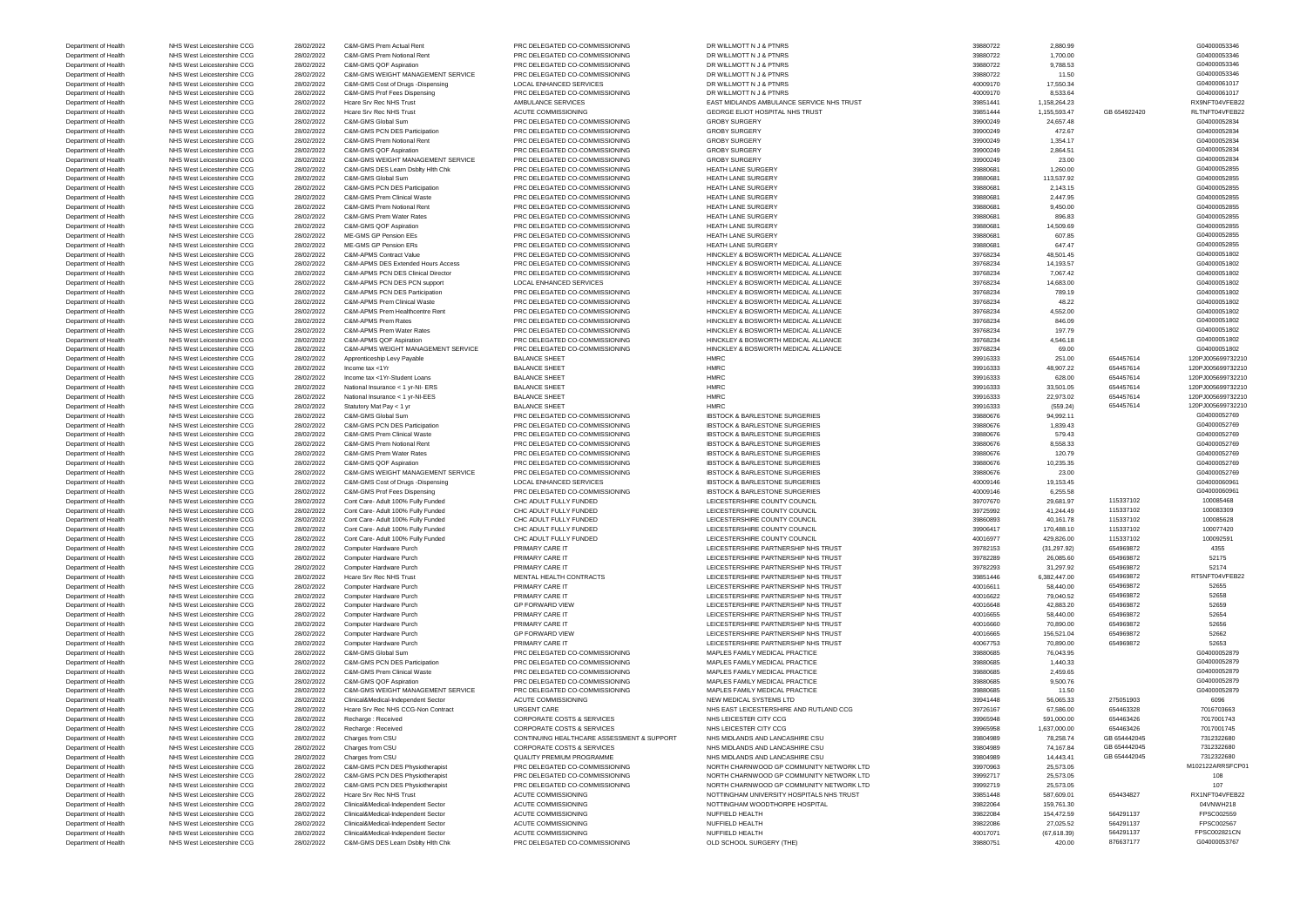Department of Health NHS West Leicestershire CCG 28/02/2022 C&M-GMS DES Learn Dsblty Hlth Chk PRC DELEGATED CO-COMMISSIONING OLD SCHOOL SURGERY (THE) 39880751 39880751 420.00 876637177 6604000053767

Department of Health NHS West Leicestershire CCG 28/02/2022 Clinical&Medical-Independent Sector ACUTE COMMISSIONING NUFFIELD HEALTH 40017071 40017071 (67,618.39) 564291137 FPSC002821CN

Department of Health NHS West Leicestershire CCG 28/02/2022 C&M-GMS Prem Actual Rent PRC DELEGATED CO-COMMISSIONING DR WILLMOTT N J & PTNRS 39880722 2,880.99 2,880.99 2,880.99 2,880.99 C04000053346 Department of Health NHS West Leicestershire CCG 28/02/2022 C&M-GMS Prem Notional Rent PRC DELEGATED CO-COMMISSIONING DR WILLMOTT N J & PTNRS 39880722 1,700.00 1,700.00 1,700.00 504000053346 Department of Health NHS West Leicestershire CCG 28/02/2022 C&M-GMS QOF Aspiration PRC DELEGATED CO-COMMISSIONING DR WILLMOTT N J & PTNRS 39880722 39880722 9,788.53 99880722 9,788.53 G04000053346 Department of Health NHS West Leicestershire CCG 28/02/2022 C&M-GMS WEIGHT MANAGEMENT SERVICE PRC DELEGATED CO-COMMISSIONING DR WILLMOTT N J & PTNRS 39880722 11.50 11.50 11.50 504000053346 Department of Health NHS West Leicestershire CCG 28/02/2022 C&M-GMS Cost of Drugs -Dispensing LOCAL ENHANCED SERVICES DR WILLMOTT N J & PTNRS 40009170 17,550.34 40009170 17,550.34 G04000061017 Department of Health NHS West Leicestershire CCG 28/02/2022 C&M-GMS Prof Fees Dispensing PRC DELEGATED CO-COMMISSIONING DR WILLMOTT N J & PTNRS 40009170 8,533.64 40009170 8,533.64 G04000061017 Department of Health NHS West Leicestershire CCG 28/02/2022 Hcare Srv Rec NHS Trust AMBULANCE SERVICES EAST MIDLANDS AMBULANCE SERVICE NHS TRUST 39851441 1,158,264.23 RX9NFT04VFEB22 Department of Health NHS West Leicestershire CCG 28/02/2022 Hcare Srv Rec NHS Trust ACUTE COMMISSIONING GEORGE ELIOT HOSPITAL NHS TRUST 39851444 3,155,593.47 GB 654922420 RLTNFT04VFEB22 Department of Health NHS West Leicestershire CCG 28/02/2022 C&M-GMS Global Sum PRC DELEGATED CO-COMMISSIONING GROBY SURGERY GROBY SURGERY 39900249 24,657.48 24657.48 G04000052834 Department of Health NHS West Leicestershire CCG 28/02/2022 C&M-GMS PCN DES Participation PRC DELEGATED CO-COMMISSIONING GROBY SURGERY GROBY SURGERY 39900249 472.67 472.67 472.67 604000052834 Department of Health NHS West Leicestershire CCG 28/02/2022 C&M-GMS Prem Notional Rent PRC DELEGATED CO-COMMISSIONING GROBY SURGERY STREET STREET AND 39900249 1,354.17 39900249 1,354.17 G04000052834 Department of Health NHS West Leicestershire CCG 28/02/2022 C&M-GMS QOF Aspiration PRC DELEGATED CO-COMMISSIONING GROBY SURGERY GROBY SURGERY 39900249 2,864.51 2,864.51 G04000052834 Department of Health NHS West Leicestershire CCG 28/02/2022 C&M-GMS WEIGHT MANAGEMENT SERVICE PRC DELEGATED CO-COMMISSIONING GROBY SURGERY 39900249 23.00 23.00 23.00 23.00 23.00 G04000052834 Department of Health NHS West Leicestershire CCG 28/02/2022 C&M-GMS DES Learn Dsblty Hlth Chk PRC DELEGATED CO-COMMISSIONING HEATH LANE SURGERY 39880681 39880681 1,260.00 1604000052855 Department of Health NHS West Leicestershire CCG 28/02/2022 C&M-GMS Global Sum PRC DELEGATED CO-COMMISSIONING HEATH LANE SURGERY 39880681 39880681 113,537.92 504000052855 Department of Health NHS West Leicestershire CCG 28/02/2022 C&M-GMS PCN DES Participation PRC DELEGATED CO-COMMISSIONING HEATH LANE SURGERY 39880681 39880681 2,143.15 2,143.15 G04000052855 Department of Health NHS West Leicestershire CCG 28/02/2022 C&M-GMS Prem Clinical Waste PRC DELEGATED CO-COMMISSIONING HEATH LANE SURGERY 39880681 2,447.95 2,447.95 G04000052855<br>Department of Health NHS West Leicestershire Department of Health NHS West Leicestershire CCG 28/02/2022 C&M-GMS Prem Notional Rent PRC DELEGATED CO-COMMISSIONING HEATH LANE SURGERY 39880681 39880681 9,450.00 9,450.00 9,450.00 G04000052855 Department of Health NHS West Leicestershire CCG 28/02/2022 C&M-GMS Prem Water Rates PRC DELEGATED CO-COMMISSIONING HEATH LANE SURGERY 39880681 39880681 896.83 8968681 896.83 G04000052855 Department of Health NHS West Leicestershire CCG 28/02/2022 C&M-GMS QOF Aspiration PRC DELEGATED CO-COMMISSIONING HEATH LANE SURGERY 39880681 39880681 14,509.69 14,509.69 G04000052855 Department of Health NHS West Leicestershire CCG 28/02/2022 ME-GMS GP Pension EEs PRC DELEGATED CO-COMMISSIONING HEATH LANE SURGERY 39880681 39880681 607.85 607.85 G04000052855 Department of Health NHS West Leicestershire CCG 28/02/2022 ME-GMS GP Pension ERs PRC DELEGATED CO-COMMISSIONING HEATH LANE SURGERY 39880681 39880681 647.47 647.47 6644000052855 Department of Health NHS West Leicestershire CCG 28/02/2022 C&M-APMS Contract Value PRC DELEGATED CO-COMMISSIONING HINCKLEY & BOSWORTH MEDICAL ALLIANCE 39768234 39768234 48,501.45 48,501.45 6040000051802 Department of Health NHS West Leicestershire CCG 28/02/2022 C&M-APMS DES Extended Hours Access PRC DELEGATED CO-COMMISSIONING HINCKLEY & BOSWORTH MEDICAL ALLIANCE 39768234 39768234 14,193.57 14,193.57 G04000051802 Department of Health NHS West Leicestershire CCG 28/02/2022 C&M-APMS PCN DES Clinical Director PRC DELEGATED CO-COMMISSIONING HINCKLEY & BOSWORTH MEDICAL ALLIANCE 39768234 7,067.42 7,067.42 604000051802 Department of Health NHS West Leicestershire CCG 28/02/2022 C&M-APMS PCN DES PCN support LOCAL ENHANCED SERVICES HINCKLEY & BOSWORTH MEDICAL ALLIANCE 39768234 3768234 14,683.00 14,683.00 G04000051802 Department of Health NHS West Leicestershire CCG 28/02/2022 C&M-APMS PCN DES Participation PRC DELEGATED CO-COMMISSIONING HINCKLEY & BOSWORTH MEDICAL ALLIANCE 39768234 789.19 789.19 789.19 G04000051802 Department of Health NHS West Leicestershire CCG 28/02/2022 C&M-APMS Prem Clinical Waste PRC DELEGATED CO-COMMISSIONING HINCKLEY & BOSWORTH MEDICAL ALLIANCE 39768234 39768234 48.22 48.02 604000051802 Department of Health NHS West Leicestershire CCG 28/02/2022 C&M-APMS Prem Healthcentre Rent PRC DELEGATED CO-COMMISSIONING HINCKLEY & BOSWORTH MEDICAL ALLIANCE 39768234 39768234 4,552.00 4,552.00 4,552.00 604000051802 Department of Health NHS West Leicestershire CCG 28/02/2022 C&M-APMS Prem Rates PRC DELEGATED CO-COMMISSIONING HINCKLEY & BOSWORTH MEDICAL ALLIANCE 39768234 39768234 846.09 846.09 G04000051802 Department of Health NHS West Leicestershire CCG 28/02/2022 C&M-APMS Prem Water Rates PRC DELEGATED CO-COMMISSIONING HINCKLEY & BOSWORTH MEDICAL ALLIANCE 39768234 39768234 197.79 197.79 G04000051802 Department of Health NHS West Leicestershire CCG 28/02/2022 C&M-APMS QOF Aspiration PRC DELEGATED CO-COMMISSIONING HINCKLEY & BOSWORTH MEDICAL ALLIANCE 39768234 39768234 4,546.18 4,546.18 504000051802 Department of Health NHS West Leicestershire CCG 28/02/2022 C&M-APMS WEIGHT MANAGEMENT SERVICE PRC DELEGATED CO-COMMISSIONING HINCKLEY & BOSWORTH MEDICAL ALLIANCE 39768234 39768234 69.00 604000051802 Department of Health NHS West Leicestershire CCG 28/02/2022 Apprenticeship Levy Payable BALANCE SHEET HMRC HMRC 39916333 251.00 654457614 120PJ005699732210 Department of Health NHS West Leicestershire CCG 28/02/2022 Income tax <1Yr BALANCE SHEET HMRC HMRC 39916333 48,907.22 654457614 120PJ005699732210 Department of Health NHS West Leicestershire CCG 28/02/2022 Income tax <1Yr-Student Loans BALANCE SHEET HMRC HMRC 39916333 628.00 654457614 120PJ005699732210 Department of Health NHS West Leicestershire CCG 28/02/2022 National Insurance < 1 yr-NI- ERS BALANCE SHEET HMRC HMRC 39916333 33,501.05 654457614 120PJ005699732210 Department of Health NHS West Leicestershire CCG 28/02/2022 National Insurance < 1 yr-NI-EES BALANCE SHEET HMRC HMRC 39916333 22,973.02 654457614 120PJ005699732210 Department of Health NHS West Leicestershire CCG 28/02/2022 Statutory Mat Pay < 1 yr BALANCE SHEET HMRC NHRC 39916333 (559.24) 654457614 120PJ005699732210 Department of Health NHS West Leicestershire CCG 28/02/2022 C&M-GMS Global Sum PRC DELEGATED CO-COMMISSIONING IBSTOCK & BARLESTONE SURGERIES 39880676 94,992.11 94,992.11 CO4000052769 94,992.11 G04000052769 94,992.11 G04000 Department of Health NHS West Leicestershire CCG 28/02/2022 C&M-GMS PCN DES Participation PRC DELEGATED CO-COMMISSIONING IBSTOCK & BARLESTONE SURGERIES 39880676 39880676 1,839.43 G04000052769 Department of Health NHS West Leicestershire CCG 28/02/2022 C&M-GMS Prem Clinical Waste PRC DELEGATED CO-COMMISSIONING IBSTOCK & BARLESTONE SURGERIES 39880676 579.43 579.43 579.43 G04000052769 Department of Health NHS West Leicestershire CCG 28/02/2022 C&M-GMS Prem Notional Rent PRC DELEGATED CO-COMMISSIONING IBSTOCK & BARLESTONE SURGERIES 39880676 8,558.33 89880676 8,558.33 G04000052769 Department of Health NHS West Leicestershire CCG 28/02/2022 C&M-GMS Prem Water Rates PRC DELEGATED CO-COMMISSIONING IBSTOCK & BARLESTONE SURGERIES 39880676 39880676 120.79 120.79 G04000052769 Department of Health NHS West Leicestershire CCG 28/02/2022 C&M-GMS QOF Aspiration PRC DELEGATED CO-COMMISSIONING IBSTOCK & BARLESTONE SURGERIES 39880676 39880676 10,235.35 604000052769 Department of Health NHS West Leicestershire CCG 28/02/2022 C&M-GMS WEIGHT MANAGEMENT SERVICE PRC DELEGATED CO-COMMISSIONING IBSTOCK & BARLESTONE SURGERIES 39880676 23.00 23.00 23.00 23.00 39880676 23.00 C04000052769 Department of Health NHS West Leicestershire CCG 28/02/2022 C&M-GMS Cost of Drugs -Dispensing LOCAL ENHANCED SERVICES IBSTOCK & BARLESTONE SURGERIES 40009146 19,153.45 40009146 19,153.45 G04000060961 Department of Health NHS West Leicestershire CCG 28/02/2022 C&M-GMS Prof Fees Dispensing PRC DELEGATED CO-COMMISSIONING IBSTOCK & BARLESTONE SURGERIES 40009146 6,255.58 6604000060961 Department of Health NHS West Leicestershire CCG 28/02/2022 Cont Care- Adult 100% Fully Funded CHC ADULT FULLY FUNDED LEICESTERSHIRE COUNTY COUNCIL 29 20 0000570 29,681.97 115337102 100085468 Department of Health NHS West Leicestershire CCG 28/02/2022 Cont Care- Adult 100% Fully Funded CHC ADULT FULLY FUNDED LEICESTERSHIRE COUNTY COUNCIL 39725992 41,244.49 115337102 100083309 Department of Health NHS West Leicestershire CCG 28/02/2022 Cont Care- Adult 100% Fully Funded CHC ADULT FULLY FUNDED LEICESTERSHIRE COUNTY COUNCIL 2000 20000000 39860893 40,161.78 115337102 100085628 Department of Health NHS West Leicestershire CCG 28/02/2022 Cont Care- Adult 100% Fully Funded CHC ADULT FULLY FUNDED LEICESTERSHIRE COUNTY COUNCIL 2000 2000417 170,488.10 115337102 100077420 Department of Health NHS West Leicestershire CCG 28/02/2022 Cont Care- Adult 100% Fully Funded CHC ADULT FULLY FUNDED LEICESTERSHIRE COUNTY COUNCIL 40016977 429,826.00 115337102 100092591 Department of Health NHS West Leicestershire CCG 28/02/2022 Computer Hardware Purch PRIMARY CARE IT LEICESTERSHIRE PARTNERSHIRE PARTNERSHIP NHS TRUST 39782153 (31,297.92) 654969872 64355<br>Department of Health NHS West Leice Department of Health NHS West Leicestershire CCG 28/02/2022 Computer Hardware Purch PRIMARY CARE IT COMES DESCESTERSHIRE PARTNERSHIRE PARTNERSHIP NHS TRUST 200852289 26,085.60 654969872 52175 Department of Health NHS West Leicestershire CCG 28/02/2022 Computer Hardware Purch PRIMARY CARE IT COMES ELECESTERSHIRE PARTNERSHIP NHS TRUST 39782293 31,297.92 52174 Department of Health NHS West Leicestershire CCG 28/02/2022 Hcare Srv Rec NHS Trust MENTAL HEALTH CONTRACTS LEICESTERSHIRE PARTNERSHIP NHS TRUST 39851446 6,382,447.00 654969872 RT5NFT04VFEB22 Department of Health NHS West Leicestershire CCG 28/02/2022 Computer Hardware Purch PRIMARY CARE IT A Department Department Purch Department of Health 40016611 58,440.00 654969872 52655 Department of Health NHS West Leicestershire CCG 28/02/2022 Computer Hardware Purch PRIMARY CARE IT PARTNERSHIP NHS TRUST PARTNERSHIP NHS TRUST AND A 20016622 79,040.52 654969872 654969872 52658 79,040.52 654969872 52658 7 Department of Health NHS West Leicestershire CCG 28/02/2022 Computer Hardware Purch GP FORWARD VIEW LEICESTERSHIRE PARTNERSHIRE PARTNERSHIR MHS TRUST 40016648 42,883.20 654969872 52659 Department of Health NHS West Leicestershire CCG 28/02/2022 Computer Hardware Purch PRIMARY CARE IT PARTNERSHIRE PARTNERSHIRE PARTNERSHIRE PARTNERSHIRE PARTNERSHIRE PARTNERSHIRE PARTNERSHIRE PARTNERSHIRE PARTNERSHIRE PARTN Department of Health NHS West Leicestershire CCG 28/02/2022 Computer Hardware Purch PRIMARY CARE IT PARTNERSHIRE PARTNERSHIRE PARTNERSHIRE PARTNERSHIRE PARTNERSHIRE PARTNERSHIRE PARTNERSHIRE PARTNERSHIRE PARTNERSHIRE PARTN Department of Health NHS West Leicestershire CCG 28/02/2022 Computer Hardware Purch GP HORWARD VIEW LEICESTERSHIRE PARTNERSHIRE PARTNERSHIRE PARTNERSHIRE PARTNERSHIRE PARTNERSHIRE PARTNERSHIRE PARTNERSHIRE PARTNERSHIRE PAR Department of Health NHS West Leicestershire CCG 28/02/2022 Computer Hardware Purch PRIMARY CARE IT PRIMARY CARE IT LEICESTERSHIRE PARTNERSHIP NHS TRUST 40067753 70,890.00 654969872 52653 52653<br>Department of Health NHS Wes Department of Health NHS West Leicestershire CCG 28/02/2022 C&M-GMS Global Sum PRC DELEGATED CO-COMMISSIONING MAPLES FAMILY MEDICAL PRACTICE 39880685 76,043.95 Department of Health NHS West Leicestershire CCG 28/02/2022 C&M-GMS PCN DES Participation PRC DELEGATED CO-COMMISSIONING MAPLES FAMILY MEDICAL PRACTICE 39880685 39880685 1,440.33 G04000052879 Department of Health NHS West Leicestershire CCG 28/02/2022 C&M-GMS Prem Clinical Waste PRC DELEGATED CO-COMMISSIONING MAPLES FAMILY MEDICAL PRACTICE 39880685 2,459.65 2,459.65 2,459.65 39880685 2,459.65 COMOODS2879 2,459. Department of Health NHS West Leicestershire CCG 28/02/2022 C&M-GMS QOF Aspiration PRC DELEGATED CO-COMMISSIONING MAPLES FAMILY MEDICAL PRACTICE 39880685 9,500.76 9,500.76 9,500.76 604000052879 Department of Health NHS West Leicestershire CCG 28/02/2022 C&M-GMS WEIGHT MANAGEMENT SERVICE PRC DELEGATED CO-COMMISSIONING MAPLES FAMILY MEDICAL PRACTICE 39880685 39880685 11.50 11.50 19980685 11.50 11.50 G04000052879 Department of Health NHS West Leicestershire CCG 28/02/2022 Clinical&Medical-Independent Sector ACUTE COMMISSIONING NEW MEDICAL SYSTEMS LTD 39941448 39941448 56,065.33 275051903 6096 Department of Health NHS West Leicestershire CCG 28/02/2022 Hcare Srv Rec NHS CCG-Non Contract URGENT CARE NHS EAST LEICESTERSHIRE AND RUTLAND CCG 39726167 67,586.00 654463328 7016703663 Department of Health NHS West Leicestershire CCG 28/02/2022 Recharge : Received CORPORATE COSTS & SERVICES NHS LEICESTER CITY CCG 39965948 591,000.00 654463426 7017001743 Department of Health NHS West Leicestershire CCG 28/02/2022 Recharge : Received CORPORATE COSTS & SERVICES NHS LEICESTER CITY CCG 39965958 39965958 1,637,000.00 654463426 7017001745 Department of Health NHS West Leicestershire CCG 28/02/2022 Charges from CSU CONTINUING HEALTHCARE ASSESSMENT & SUPPORT NHS MIDLANDS AND LANCASHIRE CSU 39804989 78,258.74 GB 654442045 7312322680 Department of Health NHS West Leicestershire CCG 28/02/2022 Charges from CSU CORPORATE COSTS & SERVICES NHS MIDLANDS AND LANCASHIRE CSU 39804989 74,167.84 GB 654442045 7312322680 Department of Health NHS West Leicestershire CCG 28/02/2022 Charges from CSU QUALITY PREMIUM PROGRAMME NHS MIDLANDS AND LANCASHIRE CSU 39804989 14,443.41 GB 654442045 7312322680 Department of Health NHS West Leicestershire CCG 28/02/2022 C&M-GMS PCN DES Physiotherapist PRC DELEGATED CO-COMMISSIONING NORTH CHARNWOOD GP COMMUNITY NETWORK LTD 39970963 25,573.05 25,573.05 M102122ARRSFCP01 Department of Health NHS West Leicestershire CCG 28/02/2022 C&M-GMS PCN DES Physiotherapist PRC DELEGATED CO-COMMISSIONING NORTH CHARNWOOD GP COMMUNITY NETWORK LTD 39992717 25,573.05 25,573.05 25,573.05 29,992719 25,573.05 Department of Health NHS West Leicestershire CCG 28/02/2022 C&M-GMS PCN DES Physiotherapist PRC DELEGATED CO-COMMISSIONING NORTH CHARNWOOD GP COMMUNITY NETWORK LTD 39992719 25,573.05 25,573.05 25,573.05 Department of Health NHS West Leicestershire CCG 28/02/2022 Hcare Srv Rec NHS Trust ACUTE COMMISSIONING NOTTINGHAM UNIVERSITY HOSPITALS NHS TRUST 39851448 587,609.01 654434827 RX1NFT04VFEB22 Department of Health NHS West Leicestershire CCG 28/02/2022 Clinical&Medical-Independent Sector ACUTE COMMISSIONING NOTTINGHAM WOODTHORPE HOSPITAL 39822064 39822064 159,761.30 159,761.30 04VNWH218 Department of Health NHS West Leicestershire CCG 28/02/2022 Clinical&Medical-Independent Sector ACUTE COMMISSIONING NUFFIELD HEALTH 39822084 39822084 154,472.59 564291137 FPSC002559 Department of Health NHS West Leicestershire CCG 28/02/2022 Clinical&Medical-Independent Sector ACUTE COMMISSIONING NUFFIELD HEALTH 39822086 39822086 27,025.52 564291137 FPSC002567